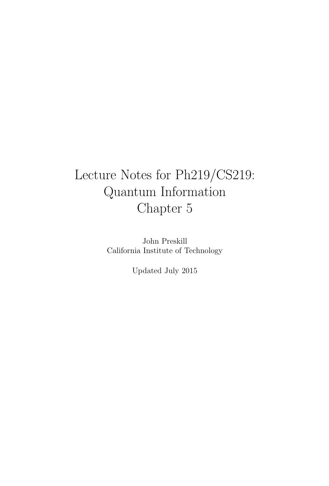# Lecture Notes for Ph219/CS219: Quantum Information Chapter 5

John Preskill California Institute of Technology

Updated July 2015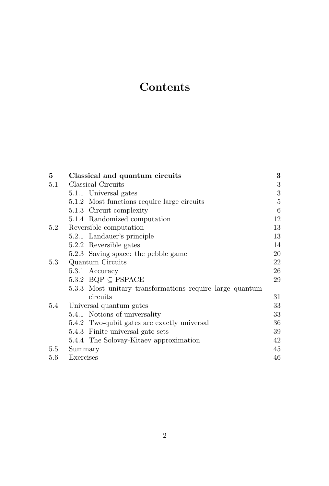## **Contents**

| 5   | Classical and quantum circuits                           | $\bf{3}$   |
|-----|----------------------------------------------------------|------------|
| 5.1 | Classical Circuits                                       | 3          |
|     | 5.1.1 Universal gates                                    | $\sqrt{3}$ |
|     | 5.1.2 Most functions require large circuits              | $\bf 5$    |
|     | 5.1.3 Circuit complexity                                 | $\,6\,$    |
|     | 5.1.4 Randomized computation                             | 12         |
| 5.2 | Reversible computation                                   | 13         |
|     | 5.2.1 Landauer's principle                               | 13         |
|     | 5.2.2 Reversible gates                                   | 14         |
|     | 5.2.3 Saving space: the pebble game                      | 20         |
| 5.3 | Quantum Circuits                                         | 22         |
|     | 5.3.1 Accuracy                                           | 26         |
|     | 5.3.2 BQP $\subseteq$ PSPACE                             | 29         |
|     | 5.3.3 Most unitary transformations require large quantum |            |
|     | circuits                                                 | 31         |
| 5.4 | Universal quantum gates                                  | 33         |
|     | 5.4.1 Notions of universality                            | 33         |
|     | 5.4.2 Two-qubit gates are exactly universal              | 36         |
|     | 5.4.3 Finite universal gate sets                         | 39         |
|     | 5.4.4 The Solovay-Kitaev approximation                   | 42         |
| 5.5 | Summary                                                  | 45         |
| 5.6 | Exercises                                                | 46         |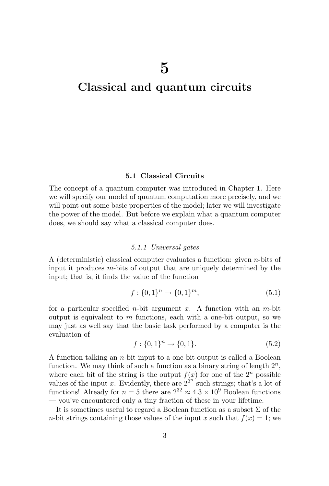$\mathbf{5}$ 

## Classical and quantum circuits

#### 5.1 Classical Circuits

The concept of a quantum computer was introduced in Chapter 1. Here we will specify our model of quantum computation more precisely, and we will point out some basic properties of the model; later we will investigate the power of the model. But before we explain what a quantum computer does, we should say what a classical computer does.

#### 5.1.1 Universal gates

A (deterministic) classical computer evaluates a function: given n-bits of input it produces m-bits of output that are uniquely determined by the input; that is, it finds the value of the function

$$
f: \{0, 1\}^n \to \{0, 1\}^m,\tag{5.1}
$$

for a particular specified *n*-bit argument x. A function with an  $m$ -bit output is equivalent to  $m$  functions, each with a one-bit output, so we may just as well say that the basic task performed by a computer is the evaluation of

$$
f: \{0, 1\}^n \to \{0, 1\}.
$$
 (5.2)

A function talking an n-bit input to a one-bit output is called a Boolean function. We may think of such a function as a binary string of length  $2^n$ , where each bit of the string is the output  $f(x)$  for one of the  $2^n$  possible values of the input x. Evidently, there are  $2^{2^n}$  such strings; that's a lot of functions! Already for  $n = 5$  there are  $2^{32} \approx 4.3 \times 10^9$  Boolean functions — you've encountered only a tiny fraction of these in your lifetime.

It is sometimes useful to regard a Boolean function as a subset  $\Sigma$  of the *n*-bit strings containing those values of the input x such that  $f(x) = 1$ ; we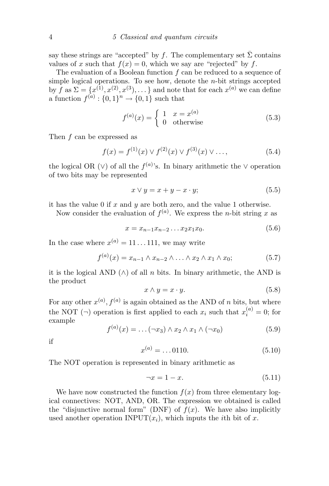say these strings are "accepted" by f. The complementary set  $\bar{\Sigma}$  contains values of x such that  $f(x) = 0$ , which we say are "rejected" by f.

The evaluation of a Boolean function f can be reduced to a sequence of simple logical operations. To see how, denote the  $n$ -bit strings accepted by f as  $\Sigma = \{x^{(1)}, x^{(2)}, x^{(3)}, \dots\}$  and note that for each  $x^{(a)}$  we can define a function  $f^{(a)}: \{0,1\}^n \to \{0,1\}$  such that

$$
f^{(a)}(x) = \begin{cases} 1 & x = x^{(a)} \\ 0 & \text{otherwise} \end{cases}
$$
 (5.3)

Then f can be expressed as

$$
f(x) = f^{(1)}(x) \vee f^{(2)}(x) \vee f^{(3)}(x) \vee \dots,
$$
 (5.4)

the logical OR ( $\vee$ ) of all the  $f^{(a)}$ 's. In binary arithmetic the  $\vee$  operation of two bits may be represented

$$
x \lor y = x + y - x \cdot y;
$$
\n
$$
(5.5)
$$

it has the value 0 if  $x$  and  $y$  are both zero, and the value 1 otherwise.

Now consider the evaluation of  $f^{(a)}$ . We express the *n*-bit string x as

$$
x = x_{n-1}x_{n-2}...x_2x_1x_0.
$$
 (5.6)

In the case where  $x^{(a)} = 11 \dots 111$ , we may write

$$
f^{(a)}(x) = x_{n-1} \wedge x_{n-2} \wedge \ldots \wedge x_2 \wedge x_1 \wedge x_0; \tag{5.7}
$$

it is the logical AND  $( \wedge )$  of all n bits. In binary arithmetic, the AND is the product

$$
x \wedge y = x \cdot y. \tag{5.8}
$$

For any other  $x^{(a)}$ ,  $f^{(a)}$  is again obtained as the AND of n bits, but where the NOT  $(\neg)$  operation is first applied to each  $x_i$  such that  $x_i^{(a)} = 0$ ; for example

$$
f^{(a)}(x) = \dots (\neg x_3) \land x_2 \land x_1 \land (\neg x_0)
$$
\n
$$
(5.9)
$$

if

$$
x^{(a)} = \dots 0110. \tag{5.10}
$$

The NOT operation is represented in binary arithmetic as

$$
\neg x = 1 - x. \tag{5.11}
$$

We have now constructed the function  $f(x)$  from three elementary logical connectives: NOT, AND, OR. The expression we obtained is called the "disjunctive normal form" (DNF) of  $f(x)$ . We have also implicitly used another operation INPUT $(x_i)$ , which inputs the *i*th bit of x.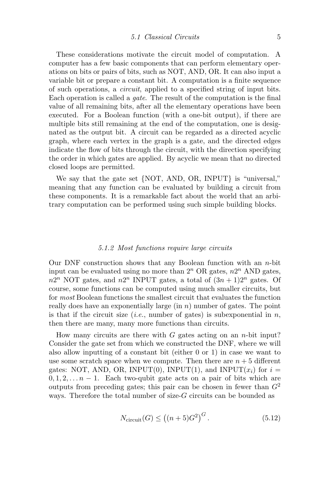These considerations motivate the circuit model of computation. A computer has a few basic components that can perform elementary operations on bits or pairs of bits, such as NOT, AND, OR. It can also input a variable bit or prepare a constant bit. A computation is a finite sequence of such operations, a circuit, applied to a specified string of input bits. Each operation is called a gate. The result of the computation is the final value of all remaining bits, after all the elementary operations have been executed. For a Boolean function (with a one-bit output), if there are multiple bits still remaining at the end of the computation, one is designated as the output bit. A circuit can be regarded as a directed acyclic graph, where each vertex in the graph is a gate, and the directed edges indicate the flow of bits through the circuit, with the direction specifying the order in which gates are applied. By acyclic we mean that no directed closed loops are permitted.

We say that the gate set {NOT, AND, OR, INPUT} is "universal," meaning that any function can be evaluated by building a circuit from these components. It is a remarkable fact about the world that an arbitrary computation can be performed using such simple building blocks.

#### 5.1.2 Most functions require large circuits

Our DNF construction shows that any Boolean function with an  $n$ -bit input can be evaluated using no more than  $2^n$  OR gates,  $n2^n$  AND gates,  $n2^n$  NOT gates, and  $n2^n$  INPUT gates, a total of  $(3n + 1)2^n$  gates. Of course, some functions can be computed using much smaller circuits, but for most Boolean functions the smallest circuit that evaluates the function really does have an exponentially large  $(in n)$  number of gates. The point is that if the circuit size (*i.e.*, number of gates) is subexponential in  $n$ , then there are many, many more functions than circuits.

How many circuits are there with  $G$  gates acting on an *n*-bit input? Consider the gate set from which we constructed the DNF, where we will also allow inputting of a constant bit (either 0 or 1) in case we want to use some scratch space when we compute. Then there are  $n + 5$  different gates: NOT, AND, OR, INPUT(0), INPUT(1), and INPUT( $x_i$ ) for  $i =$  $0, 1, 2, \ldots n-1$ . Each two-qubit gate acts on a pair of bits which are outputs from preceding gates; this pair can be chosen in fewer than  $G<sup>2</sup>$ ways. Therefore the total number of size- $G$  circuits can be bounded as

$$
N_{\text{circuit}}(G) \le \left( (n+5)G^2 \right)^G. \tag{5.12}
$$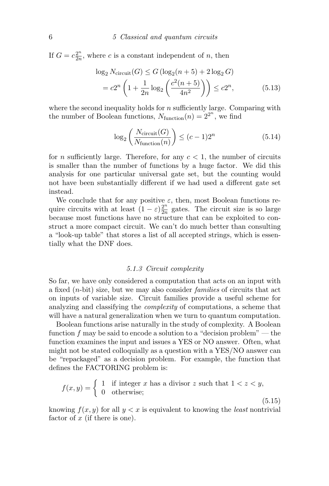If  $G = c \frac{2^n}{2^n}$  $\frac{2^n}{2n}$ , where c is a constant independent of n, then

$$
\log_2 N_{\text{circuit}}(G) \le G \left( \log_2 (n+5) + 2 \log_2 G \right)
$$
  
=  $c2^n \left( 1 + \frac{1}{2n} \log_2 \left( \frac{c^2 (n+5)}{4n^2} \right) \right) \le c2^n$ , (5.13)

where the second inequality holds for  $n$  sufficiently large. Comparing with the number of Boolean functions,  $N_{\text{function}}(n) = 2^{2^n}$ , we find

$$
\log_2\left(\frac{N_{\text{circuit}}(G)}{N_{\text{function}}(n)}\right) \le (c-1)2^n \tag{5.14}
$$

for *n* sufficiently large. Therefore, for any  $c < 1$ , the number of circuits is smaller than the number of functions by a huge factor. We did this analysis for one particular universal gate set, but the counting would not have been substantially different if we had used a different gate set instead.

We conclude that for any positive  $\varepsilon$ , then, most Boolean functions require circuits with at least  $(1 - \varepsilon) \frac{2^n}{2^n}$  $\frac{2^n}{2^n}$  gates. The circuit size is so large because most functions have no structure that can be exploited to construct a more compact circuit. We can't do much better than consulting a "look-up table" that stores a list of all accepted strings, which is essentially what the DNF does.

#### 5.1.3 Circuit complexity

So far, we have only considered a computation that acts on an input with a fixed  $(n\text{-bit})$  size, but we may also consider *families* of circuits that act on inputs of variable size. Circuit families provide a useful scheme for analyzing and classifying the complexity of computations, a scheme that will have a natural generalization when we turn to quantum computation.

Boolean functions arise naturally in the study of complexity. A Boolean function f may be said to encode a solution to a "decision problem" — the function examines the input and issues a YES or NO answer. Often, what might not be stated colloquially as a question with a YES/NO answer can be "repackaged" as a decision problem. For example, the function that defines the FACTORING problem is:

$$
f(x,y) = \begin{cases} 1 & \text{if integer } x \text{ has a divisor } z \text{ such that } 1 < z < y, \\ 0 & \text{otherwise}; \end{cases}
$$

(5.15)

knowing  $f(x, y)$  for all  $y < x$  is equivalent to knowing the *least* nontrivial factor of  $x$  (if there is one).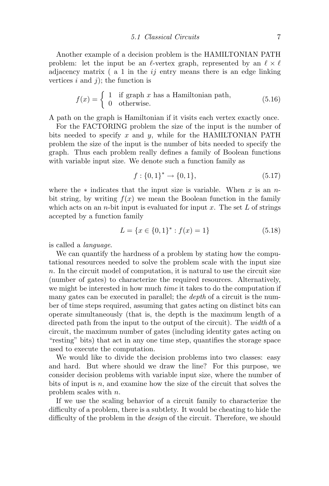Another example of a decision problem is the HAMILTONIAN PATH problem: let the input be an  $\ell$ -vertex graph, represented by an  $\ell \times \ell$ adjacency matrix  $(a 1$  in the  $ij$  entry means there is an edge linking vertices i and j); the function is

$$
f(x) = \begin{cases} 1 & \text{if graph } x \text{ has a Hamiltonian path,} \\ 0 & \text{otherwise.} \end{cases}
$$
 (5.16)

A path on the graph is Hamiltonian if it visits each vertex exactly once.

For the FACTORING problem the size of the input is the number of bits needed to specify x and y, while for the HAMILTONIAN PATH problem the size of the input is the number of bits needed to specify the graph. Thus each problem really defines a family of Boolean functions with variable input size. We denote such a function family as

$$
f: \{0, 1\}^* \to \{0, 1\},\tag{5.17}
$$

where the  $*$  indicates that the input size is variable. When x is an nbit string, by writing  $f(x)$  we mean the Boolean function in the family which acts on an *n*-bit input is evaluated for input x. The set  $L$  of strings accepted by a function family

$$
L = \{x \in \{0, 1\}^* : f(x) = 1\}
$$
\n(5.18)

is called a language.

We can quantify the hardness of a problem by stating how the computational resources needed to solve the problem scale with the input size n. In the circuit model of computation, it is natural to use the circuit size (number of gates) to characterize the required resources. Alternatively, we might be interested in how much time it takes to do the computation if many gates can be executed in parallel; the *depth* of a circuit is the number of time steps required, assuming that gates acting on distinct bits can operate simultaneously (that is, the depth is the maximum length of a directed path from the input to the output of the circuit). The *width* of a circuit, the maximum number of gates (including identity gates acting on "resting" bits) that act in any one time step, quantifies the storage space used to execute the computation.

We would like to divide the decision problems into two classes: easy and hard. But where should we draw the line? For this purpose, we consider decision problems with variable input size, where the number of bits of input is  $n$ , and examine how the size of the circuit that solves the problem scales with n.

If we use the scaling behavior of a circuit family to characterize the difficulty of a problem, there is a subtlety. It would be cheating to hide the difficulty of the problem in the *design* of the circuit. Therefore, we should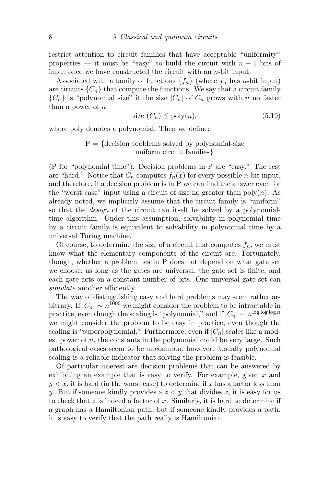restrict attention to circuit families that have acceptable "uniformity" properties — it must be "easy" to build the circuit with  $n + 1$  bits of input once we have constructed the circuit with an n-bit input.

Associated with a family of functions  $\{f_n\}$  (where  $f_n$  has *n*-bit input) are circuits  $\{C_n\}$  that compute the functions. We say that a circuit family  ${C_n}$  is "polynomial size" if the size  $|C_n|$  of  $C_n$  grows with n no faster than a power of  $n$ ,

$$
\text{size } (C_n) \le \text{poly}(n), \tag{5.19}
$$

where poly denotes a polynomial. Then we define:

 $P = \{decision\ problems\ solved\ by\ polynomial-size$ uniform circuit families}

(P for "polynomial time"). Decision problems in P are "easy." The rest are "hard." Notice that  $C_n$  computes  $f_n(x)$  for every possible *n*-bit input, and therefore, if a decision problem is in P we can find the answer even for the "worst-case" input using a circuit of size no greater than  $poly(n)$ . As already noted, we implicitly assume that the circuit family is "uniform" so that the design of the circuit can itself be solved by a polynomialtime algorithm. Under this assumption, solvability in polynomial time by a circuit family is equivalent to solvability in polynomial time by a universal Turing machine.

Of course, to determine the size of a circuit that computes  $f_n$ , we must know what the elementary components of the circuit are. Fortunately, though, whether a problem lies in P does not depend on what gate set we choose, as long as the gates are universal, the gate set is finite, and each gate acts on a constant number of bits. One universal gate set can simulate another efficiently.

The way of distinguishing easy and hard problems may seem rather arbitrary. If  $|C_n| \sim n^{1000}$  we might consider the problem to be intractable in practice, even though the scaling is "polynomial," and if  $|C_n| \sim n^{\log \log \log n}$ we might consider the problem to be easy in practice, even though the scaling is "superpolynomial." Furthermore, even if  $|C_n|$  scales like a modest power of  $n$ , the constants in the polynomial could be very large. Such pathological cases seem to be uncommon, however. Usually polynomial scaling is a reliable indicator that solving the problem is feasible.

Of particular interest are decision problems that can be answered by exhibiting an example that is easy to verify. For example, given  $x$  and  $y < x$ , it is hard (in the worst case) to determine if x has a factor less than y. But if someone kindly provides a  $z \leq y$  that divides x, it is easy for us to check that  $z$  is indeed a factor of  $x$ . Similarly, it is hard to determine if a graph has a Hamiltonian path, but if someone kindly provides a path, it is easy to verify that the path really is Hamiltonian.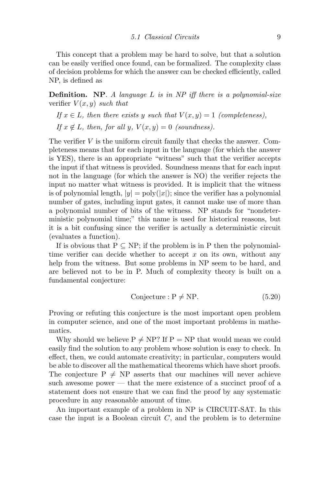This concept that a problem may be hard to solve, but that a solution can be easily verified once found, can be formalized. The complexity class of decision problems for which the answer can be checked efficiently, called NP, is defined as

**Definition.** NP. A language  $L$  is in NP iff there is a polynomial-size verifier  $V(x, y)$  such that

If 
$$
x \in L
$$
, then there exists y such that  $V(x, y) = 1$  (completeness),  
If  $x \notin L$ , then, for all y,  $V(x, y) = 0$  (soundness).

The verifier  $V$  is the uniform circuit family that checks the answer. Completeness means that for each input in the language (for which the answer is YES), there is an appropriate "witness" such that the verifier accepts the input if that witness is provided. Soundness means that for each input not in the language (for which the answer is NO) the verifier rejects the input no matter what witness is provided. It is implicit that the witness is of polynomial length,  $|y| = poly(|x|)$ ; since the verifier has a polynomial number of gates, including input gates, it cannot make use of more than a polynomial number of bits of the witness. NP stands for "nondeterministic polynomial time;" this name is used for historical reasons, but it is a bit confusing since the verifier is actually a deterministic circuit (evaluates a function).

If is obvious that  $P \subseteq NP$ ; if the problem is in P then the polynomialtime verifier can decide whether to accept  $x$  on its own, without any help from the witness. But some problems in NP seem to be hard, and are believed not to be in P. Much of complexity theory is built on a fundamental conjecture:

$$
Conjecture: P \ne NP.
$$
\n
$$
(5.20)
$$

Proving or refuting this conjecture is the most important open problem in computer science, and one of the most important problems in mathematics.

Why should we believe  $P \neq NP$ ? If  $P = NP$  that would mean we could easily find the solution to any problem whose solution is easy to check. In effect, then, we could automate creativity; in particular, computers would be able to discover all the mathematical theorems which have short proofs. The conjecture  $P \neq NP$  asserts that our machines will never achieve such awesome power — that the mere existence of a succinct proof of a statement does not ensure that we can find the proof by any systematic procedure in any reasonable amount of time.

An important example of a problem in NP is CIRCUIT-SAT. In this case the input is a Boolean circuit  $C$ , and the problem is to determine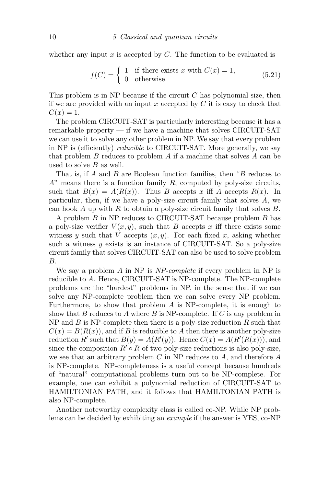whether any input  $x$  is accepted by  $C$ . The function to be evaluated is

$$
f(C) = \begin{cases} 1 & \text{if there exists } x \text{ with } C(x) = 1, \\ 0 & \text{otherwise.} \end{cases}
$$
 (5.21)

This problem is in NP because if the circuit  $C$  has polynomial size, then if we are provided with an input x accepted by  $C$  it is easy to check that  $C(x) = 1.$ 

The problem CIRCUIT-SAT is particularly interesting because it has a remarkable property — if we have a machine that solves CIRCUIT-SAT we can use it to solve any other problem in NP. We say that every problem in NP is (efficiently) reducible to CIRCUIT-SAT. More generally, we say that problem  $B$  reduces to problem  $A$  if a machine that solves  $A$  can be used to solve  $B$  as well.

That is, if A and B are Boolean function families, then "B reduces to  $A$ " means there is a function family  $R$ , computed by poly-size circuits, such that  $B(x) = A(R(x))$ . Thus B accepts x iff A accepts  $R(x)$ . In particular, then, if we have a poly-size circuit family that solves A, we can hook  $A$  up with  $R$  to obtain a poly-size circuit family that solves  $B$ .

A problem B in NP reduces to CIRCUIT-SAT because problem B has a poly-size verifier  $V(x, y)$ , such that B accepts x iff there exists some witness y such that V accepts  $(x, y)$ . For each fixed x, asking whether such a witness  $y$  exists is an instance of CIRCUIT-SAT. So a poly-size circuit family that solves CIRCUIT-SAT can also be used to solve problem B.

We say a problem  $A$  in NP is  $NP-complete$  if every problem in NP is reducible to A. Hence, CIRCUIT-SAT is NP-complete. The NP-complete problems are the "hardest" problems in NP, in the sense that if we can solve any NP-complete problem then we can solve every NP problem. Furthermore, to show that problem A is NP-complete, it is enough to show that B reduces to A where B is NP-complete. If C is any problem in NP and  $B$  is NP-complete then there is a poly-size reduction  $R$  such that  $C(x) = B(R(x))$ , and if B is reducible to A then there is another poly-size reduction R' such that  $B(y) = A(R'(y))$ . Hence  $C(x) = A(R'(R(x)))$ , and since the composition  $R' \circ R$  of two poly-size reductions is also poly-size, we see that an arbitrary problem  $C$  in NP reduces to  $A$ , and therefore  $A$ is NP-complete. NP-completeness is a useful concept because hundreds of "natural" computational problems turn out to be NP-complete. For example, one can exhibit a polynomial reduction of CIRCUIT-SAT to HAMILTONIAN PATH, and it follows that HAMILTONIAN PATH is also NP-complete.

Another noteworthy complexity class is called co-NP. While NP problems can be decided by exhibiting an example if the answer is YES, co-NP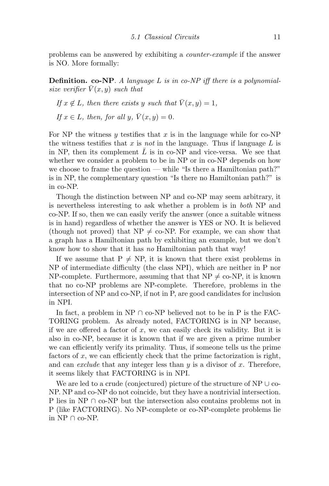problems can be answered by exhibiting a counter-example if the answer is NO. More formally:

**Definition.** co-NP. A language  $L$  is in co-NP iff there is a polynomialsize verifier  $\bar{V}(x, y)$  such that

If 
$$
x \notin L
$$
, then there exists y such that  $\overline{V}(x, y) = 1$ ,  
If  $x \in L$ , then, for all y,  $\overline{V}(x, y) = 0$ .

For NP the witness y testifies that x is in the language while for  $co-NP$ the witness testifies that x is not in the language. Thus if language  $L$  is in NP, then its complement  $\overline{L}$  is in co-NP and vice-versa. We see that whether we consider a problem to be in NP or in co-NP depends on how we choose to frame the question — while "Is there a Hamiltonian path?" is in NP, the complementary question "Is there no Hamiltonian path?" is in co-NP.

Though the distinction between NP and co-NP may seem arbitrary, it is nevertheless interesting to ask whether a problem is in both NP and co-NP. If so, then we can easily verify the answer (once a suitable witness is in hand) regardless of whether the answer is YES or NO. It is believed (though not proved) that  $NP \neq co-NP$ . For example, we can show that a graph has a Hamiltonian path by exhibiting an example, but we don't know how to show that it has no Hamiltonian path that way!

If we assume that  $P \neq NP$ , it is known that there exist problems in NP of intermediate difficulty (the class NPI), which are neither in P nor NP-complete. Furthermore, assuming that that  $NP \neq co-NP$ , it is known that no co-NP problems are NP-complete. Therefore, problems in the intersection of NP and co-NP, if not in P, are good candidates for inclusion in NPI.

In fact, a problem in NP  $\cap$  co-NP believed not to be in P is the FAC-TORING problem. As already noted, FACTORING is in NP because, if we are offered a factor of  $x$ , we can easily check its validity. But it is also in co-NP, because it is known that if we are given a prime number we can efficiently verify its primality. Thus, if someone tells us the prime factors of  $x$ , we can efficiently check that the prime factorization is right, and can *exclude* that any integer less than  $y$  is a divisor of  $x$ . Therefore, it seems likely that FACTORING is in NPI.

We are led to a crude (conjectured) picture of the structure of NP  $\cup$  co-NP. NP and co-NP do not coincide, but they have a nontrivial intersection. P lies in NP ∩ co-NP but the intersection also contains problems not in P (like FACTORING). No NP-complete or co-NP-complete problems lie in NP ∩ co-NP.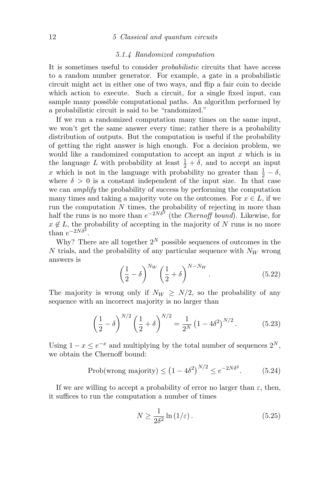## 5.1.4 Randomized computation

It is sometimes useful to consider probabilistic circuits that have access to a random number generator. For example, a gate in a probabilistic circuit might act in either one of two ways, and flip a fair coin to decide which action to execute. Such a circuit, for a single fixed input, can sample many possible computational paths. An algorithm performed by a probabilistic circuit is said to be "randomized."

If we run a randomized computation many times on the same input, we won't get the same answer every time; rather there is a probability distribution of outputs. But the computation is useful if the probability of getting the right answer is high enough. For a decision problem, we would like a randomized computation to accept an input  $x$  which is in the language L with probability at least  $\frac{1}{2} + \delta$ , and to accept an input x which is not in the language with probability no greater than  $\frac{1}{2} - \delta$ , where  $\delta > 0$  is a constant independent of the input size. In that case we can amplify the probability of success by performing the computation many times and taking a majority vote on the outcomes. For  $x \in L$ , if we run the computation  $N$  times, the probability of rejecting in more than half the runs is no more than  $e^{-2N\delta^2}$  (the *Chernoff bound*). Likewise, for  $x \notin L$ , the probability of accepting in the majority of N runs is no more than  $e^{-2N\delta^2}$ .

Why? There are all together  $2^N$  possible sequences of outcomes in the N trials, and the probability of any particular sequence with  $N_W$  wrong answers is

$$
\left(\frac{1}{2} - \delta\right)^{N_W} \left(\frac{1}{2} + \delta\right)^{N - N_W}.\tag{5.22}
$$

The majority is wrong only if  $N_W > N/2$ , so the probability of any sequence with an incorrect majority is no larger than

$$
\left(\frac{1}{2} - \delta\right)^{N/2} \left(\frac{1}{2} + \delta\right)^{N/2} = \frac{1}{2^N} \left(1 - 4\delta^2\right)^{N/2}.\tag{5.23}
$$

Using  $1 - x \leq e^{-x}$  and multiplying by the total number of sequences  $2^N$ , we obtain the Chernoff bound:

$$
\text{Prob}(\text{wrong majority}) \le (1 - 4\delta^2)^{N/2} \le e^{-2N\delta^2}.\tag{5.24}
$$

If we are willing to accept a probability of error no larger than  $\varepsilon$ , then, it suffices to run the computation a number of times

$$
N \ge \frac{1}{2\delta^2} \ln \left( 1/\varepsilon \right). \tag{5.25}
$$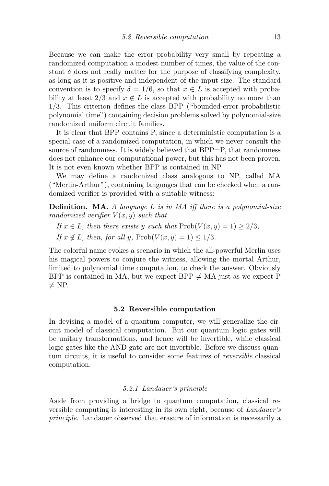Because we can make the error probability very small by repeating a randomized computation a modest number of times, the value of the constant  $\delta$  does not really matter for the purpose of classifying complexity, as long as it is positive and independent of the input size. The standard convention is to specify  $\delta = 1/6$ , so that  $x \in L$  is accepted with probability at least 2/3 and  $x \notin L$  is accepted with probability no more than 1/3. This criterion defines the class BPP ("bounded-error probabilistic polynomial time") containing decision problems solved by polynomial-size randomized uniform circuit families.

It is clear that BPP contains P, since a deterministic computation is a special case of a randomized computation, in which we never consult the source of randomness. It is widely believed that BPP=P, that randomness does not enhance our computational power, but this has not been proven. It is not even known whether BPP is contained in NP.

We may define a randomized class analogous to NP, called MA ("Merlin-Arthur"), containing languages that can be checked when a randomized verifier is provided with a suitable witness:

**Definition.** MA. A language  $L$  is in MA iff there is a polynomial-size randomized verifier  $V(x, y)$  such that

If  $x \in L$ , then there exists y such that  $\text{Prob}(V(x, y) = 1) \geq 2/3$ , If  $x \notin L$ , then, for all y,  $\text{Prob}(V(x, y) = 1) \leq 1/3$ .

The colorful name evokes a scenario in which the all-powerful Merlin uses his magical powers to conjure the witness, allowing the mortal Arthur, limited to polynomial time computation, to check the answer. Obviously BPP is contained in MA, but we expect BPP  $\neq$  MA just as we expect P  $\neq$  NP.

#### 5.2 Reversible computation

In devising a model of a quantum computer, we will generalize the circuit model of classical computation. But our quantum logic gates will be unitary transformations, and hence will be invertible, while classical logic gates like the AND gate are not invertible. Before we discuss quantum circuits, it is useful to consider some features of reversible classical computation.

#### 5.2.1 Landauer's principle

Aside from providing a bridge to quantum computation, classical reversible computing is interesting in its own right, because of Landauer's principle. Landauer observed that erasure of information is necessarily a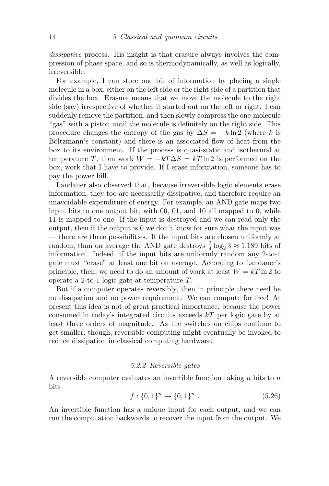dissipative process. His insight is that erasure always involves the compression of phase space, and so is thermodynamically, as well as logically, irreversible.

For example, I can store one bit of information by placing a single molecule in a box, either on the left side or the right side of a partition that divides the box. Erasure means that we move the molecule to the right side (say) irrespective of whether it started out on the left or right. I can suddenly remove the partition, and then slowly compress the one-molecule "gas" with a piston until the molecule is definitely on the right side. This procedure changes the entropy of the gas by  $\Delta S = -k \ln 2$  (where k is Boltzmann's constant) and there is an associated flow of heat from the box to its environment. If the process is quasi-static and isothermal at temperature T, then work  $W = -kT\Delta S = kT \ln 2$  is performed on the box, work that I have to provide. If I erase information, someone has to pay the power bill.

Landauer also observed that, because irreversible logic elements erase information, they too are necessarily dissipative, and therefore require an unavoidable expenditure of energy. For example, an AND gate maps two input bits to one output bit, with 00, 01, and 10 all mapped to 0, while 11 is mapped to one. If the input is destroyed and we can read only the output, then if the output is 0 we don't know for sure what the input was — there are three possibilities. If the input bits are chosen uniformly at random, than on average the AND gate destroys  $\frac{3}{4} \log_2 3 \approx 1.189$  bits of information. Indeed, if the input bits are uniformly random any 2-to-1 gate must "erase" at least one bit on average. According to Landauer's principle, then, we need to do an amount of work at least  $W = kT \ln 2$  to operate a 2-to-1 logic gate at temperature T.

But if a computer operates reversibly, then in principle there need be no dissipation and no power requirement. We can compute for free! At present this idea is not of great practical importance, because the power consumed in today's integrated circuits exceeds kT per logic gate by at least three orders of magnitude. As the switches on chips continue to get smaller, though, reversible computing might eventually be invoked to reduce dissipation in classical computing hardware.

#### 5.2.2 Reversible gates

A reversible computer evaluates an invertible function taking  $n$  bits to  $n$ bits

$$
f: \{0, 1\}^n \to \{0, 1\}^n \tag{5.26}
$$

An invertible function has a unique input for each output, and we can run the computation backwards to recover the input from the output. We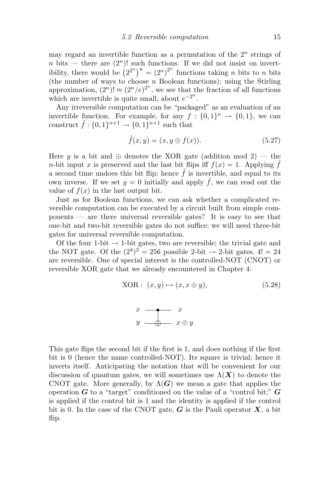may regard an invertible function as a permutation of the  $2^n$  strings of  $n \text{ bits } -$  there are  $(2^n)!$  such functions. If we did not insist on invertibility, there would be  $(2^{2^n})^n = (2^n)^{2^n}$  functions taking *n* bits to *n* bits (the number of ways to choose  $n$  Boolean functions); using the Stirling approximation,  $(2^n)! \approx (2^n/e)^{2^n}$ , we see that the fraction of all functions which are invertible is quite small, about  $e^{-2^n}$ .

Any irreversible computation can be "packaged" as an evaluation of an invertible function. For example, for any  $f: \{0,1\}^n \to \{0,1\}$ , we can construct  $\tilde{f}: \{0,1\}^{n+1} \to \{0,1\}^{n+1}$  such that

$$
\tilde{f}(x, y) = (x, y \oplus f(x)).
$$
\n(5.27)

Here y is a bit and  $oplus$  denotes the XOR gate (addition mod 2) — the *n*-bit input x is preserved and the last bit flips iff  $f(x) = 1$ . Applying f a second time undoes this bit flip; hence  $\tilde{f}$  is invertible, and equal to its own inverse. If we set  $y = 0$  initially and apply f, we can read out the value of  $f(x)$  in the last output bit.

Just as for Boolean functions, we can ask whether a complicated reversible computation can be executed by a circuit built from simple com- $\phi$  ponents — are there universal reversible gates? It is easy to see that one-bit and two-bit reversible gates do not suffice; we will need three-bit gates for universal reversible computation.

Of the four 1-bit  $\rightarrow$  1-bit gates, two are reversible; the trivial gate and the NOT gate. Of the  $(2^4)^2 = 256$  possible 2-bit  $\rightarrow$  2-bit gates, 4! = 24 are reversible. One of special interest is the controlled-NOT (CNOT) or reversible XOR gate that we already encountered in Chapter 4:

$$
XOR: (x, y) \mapsto (x, x \oplus y), \tag{5.28}
$$

$$
\begin{array}{ccc}\nx & - & x \\
y & \rightarrow & x \oplus y\n\end{array}
$$

This gate flips the second bit if the first is 1, and does nothing if the first bit is 0 (hence the name controlled-NOT). Its square is trivial; hence it inverts itself. Anticipating the notation that will be convenient for our discussion of quantum gates, we will sometimes use  $\Lambda(X)$  to denote the CNOT gate. More generally, by  $\Lambda(G)$  we mean a gate that applies the operation  $G$  to a "target" conditioned on the value of a "control bit;"  $G$ is applied if the control bit is 1 and the identity is applied if the control bit is 0. In the case of the CNOT gate,  $G$  is the Pauli operator  $X$ , a bit flip.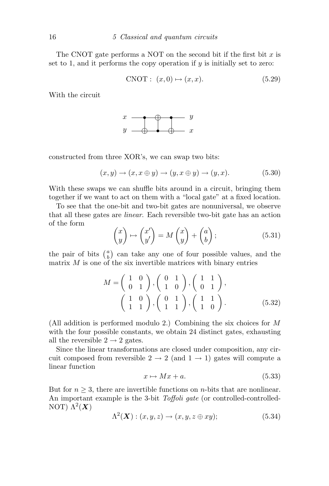The CNOT gate performs a NOT on the second bit if the first bit  $x$  is set to 1, and it performs the copy operation if  $y$  is initially set to zero:

$$
CNOT: (x, 0) \mapsto (x, x). \tag{5.29}
$$

With the circuit



constructed from three XOR's, we can swap two bits:

$$
(x,y)\to(x,x\oplus y)\to(y,x\oplus y)\to(y,x). \tag{5.30}
$$

With these swaps we can shuffle bits around in a circuit, bringing them together if we want to act on them with a "local gate" at a fixed location.

To see that the one-bit and two-bit gates are nonuniversal, we observe that all these gates are linear. Each reversible two-bit gate has an action of the form

$$
\begin{pmatrix} x \\ y \end{pmatrix} \mapsto \begin{pmatrix} x' \\ y' \end{pmatrix} = M \begin{pmatrix} x \\ y \end{pmatrix} + \begin{pmatrix} a \\ b \end{pmatrix};\tag{5.31}
$$

the pair of bits  $\binom{a}{b}$  $\binom{a}{b}$  can take any one of four possible values, and the matrix  $M$  is one of the six invertible matrices with binary entries

$$
M = \begin{pmatrix} 1 & 0 \\ 0 & 1 \end{pmatrix}, \begin{pmatrix} 0 & 1 \\ 1 & 0 \end{pmatrix}, \begin{pmatrix} 1 & 1 \\ 0 & 1 \end{pmatrix}, \\ \begin{pmatrix} 1 & 0 \\ 1 & 1 \end{pmatrix}, \begin{pmatrix} 0 & 1 \\ 1 & 1 \end{pmatrix}, \begin{pmatrix} 1 & 1 \\ 1 & 0 \end{pmatrix}. \tag{5.32}
$$

(All addition is performed modulo 2.) Combining the six choices for M with the four possible constants, we obtain 24 distinct gates, exhausting all the reversible  $2 \rightarrow 2$  gates.

Since the linear transformations are closed under composition, any circuit composed from reversible  $2 \rightarrow 2$  (and  $1 \rightarrow 1$ ) gates will compute a linear function

$$
x \mapsto Mx + a. \tag{5.33}
$$

But for  $n \geq 3$ , there are invertible functions on *n*-bits that are nonlinear. An important example is the 3-bit Toffoli gate (or controlled-controlled-NOT)  $\Lambda^2(\boldsymbol{X})$ 

$$
\Lambda^{2}(\boldsymbol{X}) : (x, y, z) \to (x, y, z \oplus xy); \tag{5.34}
$$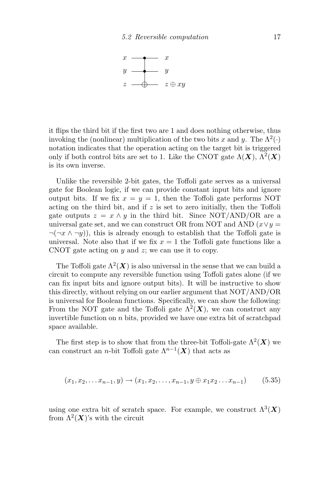

it flips the third bit if the first two are 1 and does nothing otherwise, thus invoking the (nonlinear) multiplication of the two bits x and y. The  $\Lambda^2(\cdot)$ notation indicates that the operation acting on the target bit is triggered only if both control bits are set to 1. Like the CNOT gate  $\Lambda(X)$ ,  $\Lambda^2(X)$ is its own inverse.

Unlike the reversible 2-bit gates, the Toffoli gate serves as a universal gate for Boolean logic, if we can provide constant input bits and ignore output bits. If we fix  $x = y = 1$ , then the Toffoli gate performs NOT acting on the third bit, and if  $z$  is set to zero initially, then the Toffoli gate outputs  $z = x \wedge y$  in the third bit. Since NOT/AND/OR are a universal gate set, and we can construct OR from NOT and AND  $(x \vee y =$  $\neg(\neg x \land \neg y)$ , this is already enough to establish that the Toffoli gate is universal. Note also that if we fix  $x = 1$  the Toffoli gate functions like a CNOT gate acting on  $y$  and  $z$ ; we can use it to copy.

The Toffoli gate  $\Lambda^2(\bm{X})$  is also universal in the sense that we can build a circuit to compute any reversible function using Toffoli gates alone (if we can fix input bits and ignore output bits). It will be instructive to show this directly, without relying on our earlier argument that NOT/AND/OR is universal for Boolean functions. Specifically, we can show the following: From the NOT gate and the Toffoli gate  $\Lambda^2(\mathbf{X})$ , we can construct any invertible function on  $n$  bits, provided we have one extra bit of scratchpad space available.

The first step is to show that from the three-bit Toffoli-gate  $\Lambda^2(\mathbf{X})$  we can construct an *n*-bit Toffoli gate  $\Lambda^{n-1}(\boldsymbol{X})$  that acts as

$$
(x_1, x_2, \dots x_{n-1}, y) \rightarrow (x_1, x_2, \dots, x_{n-1}, y \oplus x_1 x_2 \dots x_{n-1}) \tag{5.35}
$$

using one extra bit of scratch space. For example, we construct  $\Lambda^3(\boldsymbol{X})$ from  $\Lambda^2(\boldsymbol{X})$ 's with the circuit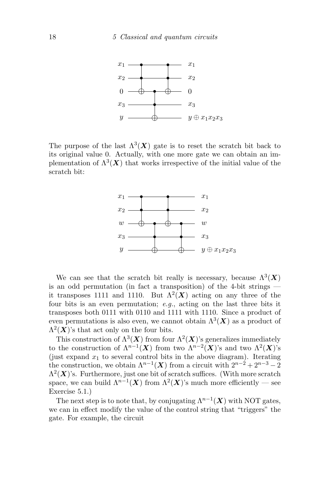

The purpose of the last  $\Lambda^3(\mathbf{X})$  gate is to reset the scratch bit back to its original value 0. Actually, with one more gate we can obtain an implementation of  $\Lambda^3(\mathbf{X})$  that works irrespective of the initial value of the scratch bit:



We can see that the scratch bit really is necessary, because  $\Lambda^3(\boldsymbol{X})$ is an odd permutation (in fact a transposition) of the 4-bit strings  $$ it transposes 1111 and 1110. But  $\Lambda^2(\mathbf{X})$  acting on any three of the four bits is an even permutation;  $e.g.,$  acting on the last three bits it transposes both 0111 with 0110 and 1111 with 1110. Since a product of even permutations is also even, we cannot obtain  $\Lambda^3(\boldsymbol{X})$  as a product of  $\Lambda^2(\boldsymbol{X})$ 's that act only on the four bits.

This construction of  $\Lambda^3(\mathbf{X})$  from four  $\Lambda^2(\mathbf{X})$ 's generalizes immediately to the construction of  $\Lambda^{n-1}(X)$  from two  $\Lambda^{n-2}(X)$ 's and two  $\Lambda^2(X)$ 's (just expand  $x_1$  to several control bits in the above diagram). Iterating the construction, we obtain  $\Lambda^{n-1}(\boldsymbol{X})$  from a circuit with  $2^{n-2} + 2^{n-3} - 2$  $\Lambda^2(\boldsymbol{X})$ 's. Furthermore, just one bit of scratch suffices. (With more scratch space, we can build  $\Lambda^{n-1}(\boldsymbol{X})$  from  $\Lambda^2(\boldsymbol{X})$ 's much more efficiently — see Exercise 5.1.)

The next step is to note that, by conjugating  $\Lambda^{n-1}(\boldsymbol{X})$  with NOT gates, we can in effect modify the value of the control string that "triggers" the gate. For example, the circuit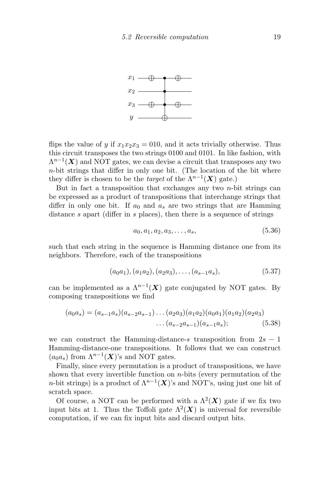

flips the value of y if  $x_1x_2x_3 = 010$ , and it acts trivially otherwise. Thus this circuit transposes the two strings 0100 and 0101. In like fashion, with  $\Lambda^{n-1}(\boldsymbol{X})$  and NOT gates, we can devise a circuit that transposes any two n-bit strings that differ in only one bit. (The location of the bit where they differ is chosen to be the *target* of the  $\Lambda^{n-1}(\boldsymbol{X})$  gate.)

But in fact a transposition that exchanges any two  $n$ -bit strings can be expressed as a product of transpositions that interchange strings that differ in only one bit. If  $a_0$  and  $a_s$  are two strings that are Hamming distance s apart (differ in s places), then there is a sequence of strings

$$
a_0, a_1, a_2, a_3, \dots, a_s,
$$
\n<sup>(5.36)</sup>

such that each string in the sequence is Hamming distance one from its neighbors. Therefore, each of the transpositions

$$
(a_0a_1), (a_1a_2), (a_2a_3), \ldots, (a_{s-1}a_s), \tag{5.37}
$$

can be implemented as a  $\Lambda^{n-1}(\boldsymbol{X})$  gate conjugated by NOT gates. By composing transpositions we find

$$
(a_0 a_s) = (a_{s-1} a_s)(a_{s-2} a_{s-1}) \dots (a_2 a_3)(a_1 a_2)(a_0 a_1)(a_1 a_2)(a_2 a_3)
$$

$$
\dots (a_{s-2} a_{s-1})(a_{s-1} a_s); \tag{5.38}
$$

we can construct the Hamming-distance-s transposition from  $2s - 1$ Hamming-distance-one transpositions. It follows that we can construct  $(a_0a_s)$  from  $\Lambda^{n-1}(\boldsymbol{X})$ 's and NOT gates.

Finally, since every permutation is a product of transpositions, we have shown that every invertible function on  $n$ -bits (every permutation of the *n*-bit strings) is a product of  $\Lambda^{n-1}(\boldsymbol{X})$ 's and NOT's, using just one bit of scratch space.

Of course, a NOT can be performed with a  $\Lambda^2(\mathbf{X})$  gate if we fix two input bits at 1. Thus the Toffoli gate  $\Lambda^2(\mathbf{X})$  is universal for reversible computation, if we can fix input bits and discard output bits.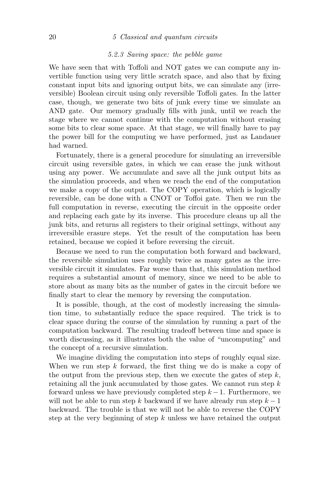#### 20 5 Classical and quantum circuits

#### 5.2.3 Saving space: the pebble game

We have seen that with Toffoli and NOT gates we can compute any invertible function using very little scratch space, and also that by fixing constant input bits and ignoring output bits, we can simulate any (irreversible) Boolean circuit using only reversible Toffoli gates. In the latter case, though, we generate two bits of junk every time we simulate an AND gate. Our memory gradually fills with junk, until we reach the stage where we cannot continue with the computation without erasing some bits to clear some space. At that stage, we will finally have to pay the power bill for the computing we have performed, just as Landauer had warned.

Fortunately, there is a general procedure for simulating an irreversible circuit using reversible gates, in which we can erase the junk without using any power. We accumulate and save all the junk output bits as the simulation proceeds, and when we reach the end of the computation we make a copy of the output. The COPY operation, which is logically reversible, can be done with a CNOT or Toffoi gate. Then we run the full computation in reverse, executing the circuit in the opposite order and replacing each gate by its inverse. This procedure cleans up all the junk bits, and returns all registers to their original settings, without any irreversible erasure steps. Yet the result of the computation has been retained, because we copied it before reversing the circuit.

Because we need to run the computation both forward and backward, the reversible simulation uses roughly twice as many gates as the irreversible circuit it simulates. Far worse than that, this simulation method requires a substantial amount of memory, since we need to be able to store about as many bits as the number of gates in the circuit before we finally start to clear the memory by reversing the computation.

It is possible, though, at the cost of modestly increasing the simulation time, to substantially reduce the space required. The trick is to clear space during the course of the simulation by running a part of the computation backward. The resulting tradeoff between time and space is worth discussing, as it illustrates both the value of "uncomputing" and the concept of a recursive simulation.

We imagine dividing the computation into steps of roughly equal size. When we run step  $k$  forward, the first thing we do is make a copy of the output from the previous step, then we execute the gates of step  $k$ , retaining all the junk accumulated by those gates. We cannot run step  $k$ forward unless we have previously completed step  $k-1$ . Furthermore, we will not be able to run step k backward if we have already run step  $k-1$ backward. The trouble is that we will not be able to reverse the COPY step at the very beginning of step  $k$  unless we have retained the output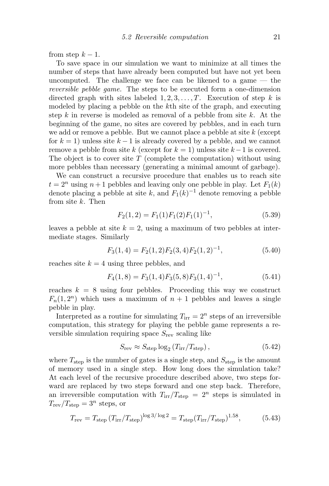from step  $k - 1$ .

To save space in our simulation we want to minimize at all times the number of steps that have already been computed but have not yet been uncomputed. The challenge we face can be likened to a game  $-$  the reversible pebble game. The steps to be executed form a one-dimension directed graph with sites labeled  $1, 2, 3, \ldots, T$ . Execution of step k is modeled by placing a pebble on the kth site of the graph, and executing step k in reverse is modeled as removal of a pebble from site k. At the beginning of the game, no sites are covered by pebbles, and in each turn we add or remove a pebble. But we cannot place a pebble at site  $k$  (except for  $k = 1$ ) unless site  $k - 1$  is already covered by a pebble, and we cannot remove a pebble from site k (except for  $k = 1$ ) unless site  $k - 1$  is covered. The object is to cover site  $T$  (complete the computation) without using more pebbles than necessary (generating a minimal amount of garbage).

We can construct a recursive procedure that enables us to reach site  $t = 2^n$  using  $n+1$  pebbles and leaving only one pebble in play. Let  $F_1(k)$ denote placing a pebble at site k, and  $F_1(k)^{-1}$  denote removing a pebble from site  $k$ . Then

$$
F_2(1,2) = F_1(1)F_1(2)F_1(1)^{-1}, \tag{5.39}
$$

leaves a pebble at site  $k = 2$ , using a maximum of two pebbles at intermediate stages. Similarly

$$
F_3(1,4) = F_2(1,2)F_2(3,4)F_2(1,2)^{-1},
$$
\n(5.40)

reaches site  $k = 4$  using three pebbles, and

$$
F_4(1,8) = F_3(1,4)F_3(5,8)F_3(1,4)^{-1},\tag{5.41}
$$

reaches  $k = 8$  using four pebbles. Proceeding this way we construct  $F_n(1, 2^n)$  which uses a maximum of  $n + 1$  pebbles and leaves a single pebble in play.

Interpreted as a routine for simulating  $T_{irr} = 2<sup>n</sup>$  steps of an irreversible computation, this strategy for playing the pebble game represents a reversible simulation requiring space  $S_{\text{rev}}$  scaling like

$$
S_{\text{rev}} \approx S_{\text{step}} \log_2 \left( T_{\text{irr}} / T_{\text{step}} \right),\tag{5.42}
$$

where  $T_{\text{step}}$  is the number of gates is a single step, and  $S_{\text{step}}$  is the amount of memory used in a single step. How long does the simulation take? At each level of the recursive procedure described above, two steps forward are replaced by two steps forward and one step back. Therefore, an irreversible computation with  $T_{irr}/T_{step} = 2^n$  steps is simulated in  $T_{\rm rev}/T_{\rm step} = 3^n$  steps, or

$$
T_{\rm rev} = T_{\rm step} \left( T_{\rm irr} / T_{\rm step} \right)^{\log 3 / \log 2} = T_{\rm step} (T_{\rm irr} / T_{\rm step})^{1.58},\tag{5.43}
$$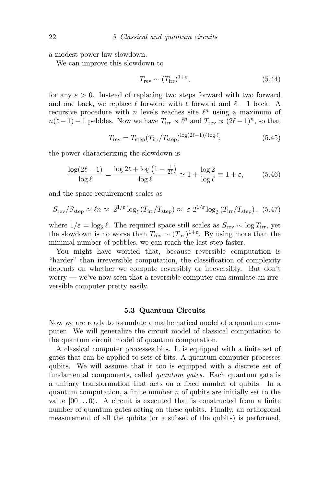a modest power law slowdown.

We can improve this slowdown to

$$
T_{\text{rev}} \sim (T_{\text{irr}})^{1+\varepsilon},\tag{5.44}
$$

for any  $\varepsilon > 0$ . Instead of replacing two steps forward with two forward and one back, we replace  $\ell$  forward with  $\ell$  forward and  $\ell - 1$  back. A recursive procedure with *n* levels reaches site  $\ell^n$  using a maximum of  $n(\ell - 1) + 1$  pebbles. Now we have  $T_{irr} \propto \ell^n$  and  $T_{rev} \propto (2\ell - 1)^n$ , so that

$$
T_{\rm rev} = T_{\rm step}(T_{\rm irr}/T_{\rm step})^{\log(2\ell-1)/\log\ell};\tag{5.45}
$$

the power characterizing the slowdown is

$$
\frac{\log(2\ell - 1)}{\log \ell} = \frac{\log 2\ell + \log \left(1 - \frac{1}{2\ell}\right)}{\log \ell} \simeq 1 + \frac{\log 2}{\log \ell} \equiv 1 + \varepsilon,\tag{5.46}
$$

and the space requirement scales as

$$
S_{\rm rev}/S_{\rm step} \approx \ell n \approx 2^{1/\varepsilon} \log_{\ell} (T_{\rm irr}/T_{\rm step}) \approx \varepsilon 2^{1/\varepsilon} \log_2 (T_{\rm irr}/T_{\rm step}), \quad (5.47)
$$

where  $1/\varepsilon = \log_2 \ell$ . The required space still scales as  $S_{\text{rev}} \sim \log T_{\text{irr}}$ , yet the slowdown is no worse than  $T_{\text{rev}} \sim (T_{\text{irr}})^{1+\epsilon}$ . By using more than the minimal number of pebbles, we can reach the last step faster.

You might have worried that, because reversible computation is "harder" than irreversible computation, the classification of complexity depends on whether we compute reversibly or irreversibly. But don't worry — we've now seen that a reversible computer can simulate an irreversible computer pretty easily.

#### 5.3 Quantum Circuits

Now we are ready to formulate a mathematical model of a quantum computer. We will generalize the circuit model of classical computation to the quantum circuit model of quantum computation.

A classical computer processes bits. It is equipped with a finite set of gates that can be applied to sets of bits. A quantum computer processes qubits. We will assume that it too is equipped with a discrete set of fundamental components, called quantum gates. Each quantum gate is a unitary transformation that acts on a fixed number of qubits. In a quantum computation, a finite number  $n$  of qubits are initially set to the value  $|00...0\rangle$ . A circuit is executed that is constructed from a finite number of quantum gates acting on these qubits. Finally, an orthogonal measurement of all the qubits (or a subset of the qubits) is performed,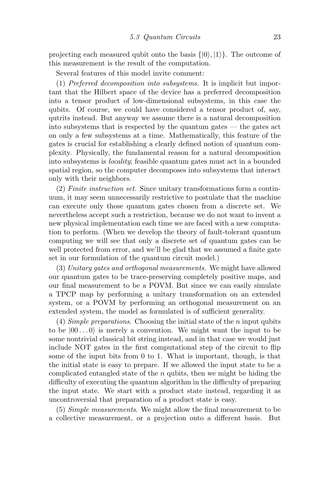projecting each measured qubit onto the basis  $\{|0\rangle, |1\rangle\}$ . The outcome of this measurement is the result of the computation.

Several features of this model invite comment:

(1) Preferred decomposition into subsystems. It is implicit but important that the Hilbert space of the device has a preferred decomposition into a tensor product of low-dimensional subsystems, in this case the qubits. Of course, we could have considered a tensor product of, say, qutrits instead. But anyway we assume there is a natural decomposition into subsystems that is respected by the quantum gates — the gates act on only a few subsystems at a time. Mathematically, this feature of the gates is crucial for establishing a clearly defined notion of quantum complexity. Physically, the fundamental reason for a natural decomposition into subsystems is locality; feasible quantum gates must act in a bounded spatial region, so the computer decomposes into subsystems that interact only with their neighbors.

(2) Finite instruction set. Since unitary transformations form a continuum, it may seem unnecessarily restrictive to postulate that the machine can execute only those quantum gates chosen from a discrete set. We nevertheless accept such a restriction, because we do not want to invent a new physical implementation each time we are faced with a new computation to perform. (When we develop the theory of fault-tolerant quantum computing we will see that only a discrete set of quantum gates can be well protected from error, and we'll be glad that we assumed a finite gate set in our formulation of the quantum circuit model.)

(3) Unitary gates and orthogonal measurements. We might have allowed our quantum gates to be trace-preserving completely positive maps, and our final measurement to be a POVM. But since we can easily simulate a TPCP map by performing a unitary transformation on an extended system, or a POVM by performing an orthogonal measurement on an extended system, the model as formulated is of sufficient generality.

(4) Simple preparations. Choosing the initial state of the n input qubits to be  $|00...0\rangle$  is merely a convention. We might want the input to be some nontrivial classical bit string instead, and in that case we would just include NOT gates in the first computational step of the circuit to flip some of the input bits from 0 to 1. What is important, though, is that the initial state is easy to prepare. If we allowed the input state to be a complicated entangled state of the  $n$  qubits, then we might be hiding the difficulty of executing the quantum algorithm in the difficulty of preparing the input state. We start with a product state instead, regarding it as uncontroversial that preparation of a product state is easy.

(5) Simple measurements. We might allow the final measurement to be a collective measurement, or a projection onto a different basis. But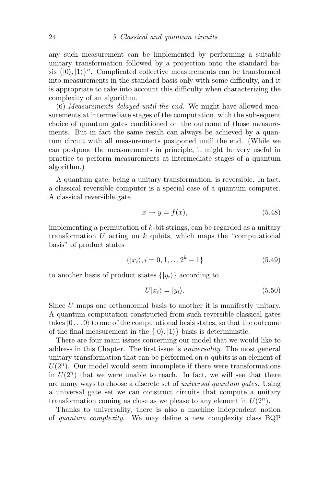any such measurement can be implemented by performing a suitable unitary transformation followed by a projection onto the standard basis  $\{|0\rangle, |1\rangle\}^n$ . Complicated collective measurements can be transformed into measurements in the standard basis only with some difficulty, and it is appropriate to take into account this difficulty when characterizing the complexity of an algorithm.

(6) Measurements delayed until the end. We might have allowed measurements at intermediate stages of the computation, with the subsequent choice of quantum gates conditioned on the outcome of those measurements. But in fact the same result can always be achieved by a quantum circuit with all measurements postponed until the end. (While we can postpone the measurements in principle, it might be very useful in practice to perform measurements at intermediate stages of a quantum algorithm.)

A quantum gate, being a unitary transformation, is reversible. In fact, a classical reversible computer is a special case of a quantum computer. A classical reversible gate

$$
x \to y = f(x),\tag{5.48}
$$

implementing a permutation of  $k$ -bit strings, can be regarded as a unitary transformation  $U$  acting on  $k$  qubits, which maps the "computational basis" of product states

$$
\{|x_i\rangle, i = 0, 1, \dots 2^k - 1\}
$$
\n(5.49)

to another basis of product states  $\{|y_i\rangle\}$  according to

$$
U|x_i\rangle = |y_i\rangle. \tag{5.50}
$$

Since U maps one orthonormal basis to another it is manifestly unitary. A quantum computation constructed from such reversible classical gates takes  $|0 \dots 0\rangle$  to one of the computational basis states, so that the outcome of the final measurement in the  $\{|0\rangle, |1\rangle\}$  basis is deterministic.

There are four main issues concerning our model that we would like to address in this Chapter. The first issue is universality. The most general unitary transformation that can be performed on  $n$  qubits is an element of  $U(2^n)$ . Our model would seem incomplete if there were transformations in  $U(2^n)$  that we were unable to reach. In fact, we will see that there are many ways to choose a discrete set of universal quantum gates. Using a universal gate set we can construct circuits that compute a unitary transformation coming as close as we please to any element in  $U(2^n)$ .

Thanks to universality, there is also a machine independent notion of quantum complexity. We may define a new complexity class BQP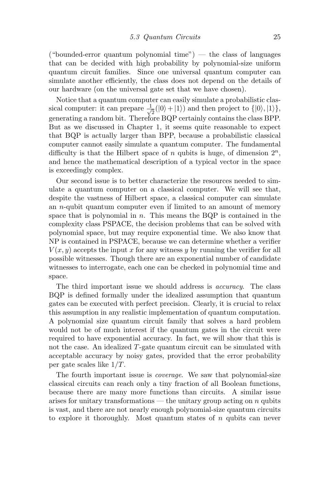("bounded-error quantum polynomial time") — the class of languages that can be decided with high probability by polynomial-size uniform quantum circuit families. Since one universal quantum computer can simulate another efficiently, the class does not depend on the details of our hardware (on the universal gate set that we have chosen).

Notice that a quantum computer can easily simulate a probabilistic classical computer: it can prepare  $\frac{1}{\sqrt{2}}$  $\frac{1}{2}(|0\rangle+|1\rangle)$  and then project to  $\{|0\rangle,|1\rangle\},\$ generating a random bit. Therefore BQP certainly contains the class BPP. But as we discussed in Chapter 1, it seems quite reasonable to expect that BQP is actually larger than BPP, because a probabilistic classical computer cannot easily simulate a quantum computer. The fundamental difficulty is that the Hilbert space of n qubits is huge, of dimension  $2^n$ , and hence the mathematical description of a typical vector in the space is exceedingly complex.

Our second issue is to better characterize the resources needed to simulate a quantum computer on a classical computer. We will see that, despite the vastness of Hilbert space, a classical computer can simulate an n-qubit quantum computer even if limited to an amount of memory space that is polynomial in  $n$ . This means the BQP is contained in the complexity class PSPACE, the decision problems that can be solved with polynomial space, but may require exponential time. We also know that NP is contained in PSPACE, because we can determine whether a verifier  $V(x, y)$  accepts the input x for any witness y by running the verifier for all possible witnesses. Though there are an exponential number of candidate witnesses to interrogate, each one can be checked in polynomial time and space.

The third important issue we should address is *accuracy*. The class BQP is defined formally under the idealized assumption that quantum gates can be executed with perfect precision. Clearly, it is crucial to relax this assumption in any realistic implementation of quantum computation. A polynomial size quantum circuit family that solves a hard problem would not be of much interest if the quantum gates in the circuit were required to have exponential accuracy. In fact, we will show that this is not the case. An idealized  $T$ -gate quantum circuit can be simulated with acceptable accuracy by noisy gates, provided that the error probability per gate scales like  $1/T$ .

The fourth important issue is coverage. We saw that polynomial-size classical circuits can reach only a tiny fraction of all Boolean functions, because there are many more functions than circuits. A similar issue arises for unitary transformations — the unitary group acting on  $n$  qubits is vast, and there are not nearly enough polynomial-size quantum circuits to explore it thoroughly. Most quantum states of n qubits can never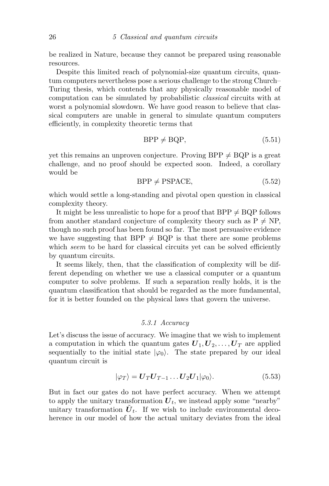be realized in Nature, because they cannot be prepared using reasonable resources.

Despite this limited reach of polynomial-size quantum circuits, quantum computers nevertheless pose a serious challenge to the strong Church– Turing thesis, which contends that any physically reasonable model of computation can be simulated by probabilistic classical circuits with at worst a polynomial slowdown. We have good reason to believe that classical computers are unable in general to simulate quantum computers efficiently, in complexity theoretic terms that

$$
BPP \ne BQP,\tag{5.51}
$$

yet this remains an unproven conjecture. Proving  $BPP \neq BQP$  is a great challenge, and no proof should be expected soon. Indeed, a corollary would be

$$
BPP \neq PSPACE, \tag{5.52}
$$

which would settle a long-standing and pivotal open question in classical complexity theory.

It might be less unrealistic to hope for a proof that BPP  $\neq$  BQP follows from another standard conjecture of complexity theory such as  $P \neq NP$ , though no such proof has been found so far. The most persuasive evidence we have suggesting that BPP  $\neq$  BQP is that there are some problems which seem to be hard for classical circuits yet can be solved efficiently by quantum circuits.

It seems likely, then, that the classification of complexity will be different depending on whether we use a classical computer or a quantum computer to solve problems. If such a separation really holds, it is the quantum classification that should be regarded as the more fundamental, for it is better founded on the physical laws that govern the universe.

### 5.3.1 Accuracy

Let's discuss the issue of accuracy. We imagine that we wish to implement a computation in which the quantum gates  $U_1, U_2, \ldots, U_T$  are applied sequentially to the initial state  $|\varphi_0\rangle$ . The state prepared by our ideal quantum circuit is

$$
|\varphi_T\rangle = \mathbf{U}_T \mathbf{U}_{T-1} \dots \mathbf{U}_2 \mathbf{U}_1 |\varphi_0\rangle.
$$
 (5.53)

But in fact our gates do not have perfect accuracy. When we attempt to apply the unitary transformation  $U_t$ , we instead apply some "nearby" unitary transformation  $\tilde{U}_t$ . If we wish to include environmental decoherence in our model of how the actual unitary deviates from the ideal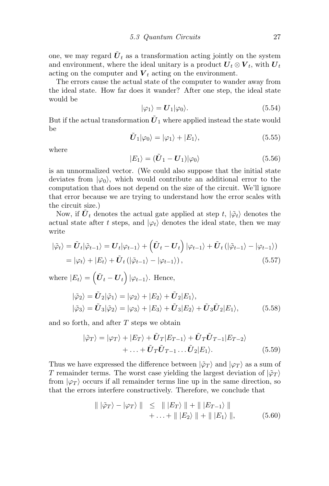one, we may regard  $\tilde{U}_t$  as a transformation acting jointly on the system and environment, where the ideal unitary is a product  $\boldsymbol{U}_t \otimes \boldsymbol{V}_t$ , with  $\boldsymbol{U}_t$ acting on the computer and  $V_t$  acting on the environment.

The errors cause the actual state of the computer to wander away from the ideal state. How far does it wander? After one step, the ideal state would be

$$
|\varphi_1\rangle = \mathbf{U}_1|\varphi_0\rangle. \tag{5.54}
$$

But if the actual transformation  $\tilde{U}_1$  where applied instead the state would be

$$
\tilde{\boldsymbol{U}}_1|\varphi_0\rangle = |\varphi_1\rangle + |E_1\rangle,\tag{5.55}
$$

where

$$
|E_1\rangle = (\tilde{\boldsymbol{U}}_1 - \boldsymbol{U}_1)|\varphi_0\rangle \tag{5.56}
$$

is an unnormalized vector. (We could also suppose that the initial state deviates from  $|\varphi_0\rangle$ , which would contribute an additional error to the computation that does not depend on the size of the circuit. We'll ignore that error because we are trying to understand how the error scales with the circuit size.)

Now, if  $\tilde{U}_t$  denotes the actual gate applied at step  $t$ ,  $|\tilde{\varphi}_t\rangle$  denotes the actual state after t steps, and  $|\varphi_t\rangle$  denotes the ideal state, then we may write

$$
\begin{aligned} |\tilde{\varphi}_t\rangle &= \tilde{\boldsymbol{U}}_t |\tilde{\varphi}_{t-1}\rangle = \boldsymbol{U}_t |\varphi_{t-1}\rangle + \left(\tilde{\boldsymbol{U}}_t - \boldsymbol{U}_t\right) |\varphi_{t-1}\rangle + \tilde{\boldsymbol{U}}_t (|\tilde{\varphi}_{t-1}\rangle - |\varphi_{t-1}\rangle) \\ &= |\varphi_t\rangle + |E_t\rangle + \tilde{\boldsymbol{U}}_t (|\tilde{\varphi}_{t-1}\rangle - |\varphi_{t-1}\rangle), \end{aligned} \tag{5.57}
$$

where  $|E_t\rangle = \langle \tilde{U}_t - U_t \rangle |\varphi_{t-1}\rangle$ . Hence,

$$
|\tilde{\varphi}_2\rangle = \tilde{U}_2|\tilde{\varphi}_1\rangle = |\varphi_2\rangle + |E_2\rangle + \tilde{U}_2|E_1\rangle,
$$
  

$$
|\tilde{\varphi}_3\rangle = \tilde{U}_3|\tilde{\varphi}_2\rangle = |\varphi_3\rangle + |E_3\rangle + \tilde{U}_3|E_2\rangle + \tilde{U}_3\tilde{U}_2|E_1\rangle,
$$
(5.58)

and so forth, and after T steps we obtain

$$
|\tilde{\varphi}_T\rangle = |\varphi_T\rangle + |E_T\rangle + \tilde{\boldsymbol{U}}_T |E_{T-1}\rangle + \tilde{\boldsymbol{U}}_T \tilde{\boldsymbol{U}}_{T-1} |E_{T-2}\rangle + \ldots + \tilde{\boldsymbol{U}}_T \tilde{\boldsymbol{U}}_{T-1} \ldots \tilde{\boldsymbol{U}}_2 |E_1\rangle.
$$
 (5.59)

Thus we have expressed the difference between  $|\tilde{\varphi}_T\rangle$  and  $|\varphi_T\rangle$  as a sum of T remainder terms. The worst case yielding the largest deviation of  $|\tilde{\varphi}_T\rangle$ from  $|\varphi_T\rangle$  occurs if all remainder terms line up in the same direction, so that the errors interfere constructively. Therefore, we conclude that

$$
\|\left|\tilde{\varphi}_T\right\rangle - \left|\varphi_T\right\rangle\| \leq \| \left|E_T\right\rangle \| + \| \left|E_{T-1}\right\rangle \| + \ldots + \| \left|E_2\right\rangle \| + \| \left|E_1\right\rangle \|,
$$
(5.60)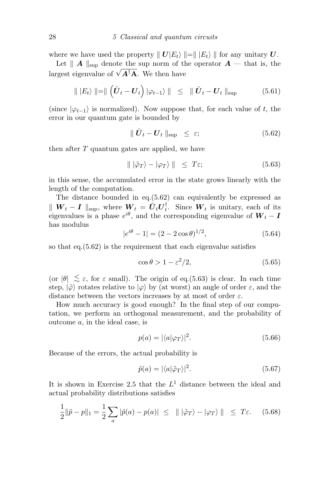where we have used the property  $||U|E_t||=||E_t||$  for any unitary U.

Let  $\parallel A \parallel_{\text{sup}}$  denote the sup norm of the operator  $A$  — that is, the Let  $||A||_{\text{sup}}$  denote the sup norm of the largest eigenvalue of  $\sqrt{A^{\dagger}A}$ . We then have

$$
\| |E_t\rangle \| = \|\left(\tilde{\boldsymbol{U}}_t - \boldsymbol{U}_t\right) |\varphi_{t-1}\rangle \| \leq \|\tilde{\boldsymbol{U}}_t - \boldsymbol{U}_t\|_{\sup} \qquad (5.61)
$$

(since  $|\varphi_{t-1}\rangle$  is normalized). Now suppose that, for each value of t, the error in our quantum gate is bounded by

$$
\|\tilde{\boldsymbol{U}}_t - \boldsymbol{U}_t\|_{\rm sup} \leq \varepsilon; \tag{5.62}
$$

then after  $T$  quantum gates are applied, we have

$$
\|\left|\tilde{\varphi}_T\right\rangle - \left|\varphi_T\right\rangle\| \le T\varepsilon; \tag{5.63}
$$

in this sense, the accumulated error in the state grows linearly with the length of the computation.

The distance bounded in eq.(5.62) can equivalently be expressed as  $\parallel \boldsymbol{W}_t - \boldsymbol{I} \parallel_{\text{sup}}$ , where  $\boldsymbol{W}_t = \tilde{\boldsymbol{U}}_t \boldsymbol{U}_t^{\dagger}$ <sup>1</sup><sub>t</sub>. Since  $W_t$  is unitary, each of its eigenvalues is a phase  $e^{i\theta}$ , and the corresponding eigenvalue of  $W_t - I$ has modulus

$$
|e^{i\theta} - 1| = (2 - 2\cos\theta)^{1/2},\tag{5.64}
$$

so that eq.(5.62) is the requirement that each eigenvalue satisfies

$$
\cos \theta > 1 - \varepsilon^2 / 2,\tag{5.65}
$$

(or  $|\theta| \leq \varepsilon$ , for  $\varepsilon$  small). The origin of eq.(5.63) is clear. In each time step,  $|\tilde{\varphi}\rangle$  rotates relative to  $|\varphi\rangle$  by (at worst) an angle of order  $\varepsilon$ , and the distance between the vectors increases by at most of order  $\varepsilon$ .

How much accuracy is good enough? In the final step of our computation, we perform an orthogonal measurement, and the probability of outcome a, in the ideal case, is

$$
p(a) = |\langle a|\varphi_T\rangle|^2. \tag{5.66}
$$

Because of the errors, the actual probability is

$$
\tilde{p}(a) = |\langle a|\tilde{\varphi}_T\rangle|^2. \tag{5.67}
$$

It is shown in Exercise 2.5 that the  $L^1$  distance between the ideal and actual probability distributions satisfies

$$
\frac{1}{2} \|\tilde{p} - p\|_1 = \frac{1}{2} \sum_a |\tilde{p}(a) - p(a)| \le ||\tilde{\varphi}_T\rangle - |\varphi_T\rangle|| \le T\varepsilon. \quad (5.68)
$$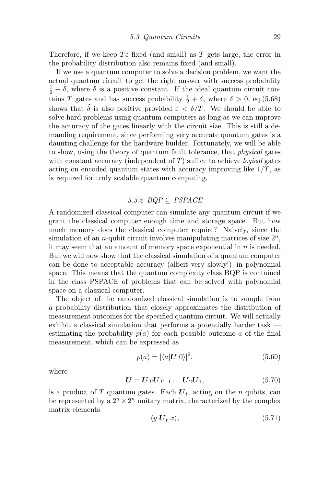Therefore, if we keep  $T \varepsilon$  fixed (and small) as T gets large, the error in the probability distribution also remains fixed (and small).

If we use a quantum computer to solve a decision problem, we want the actual quantum circuit to get the right answer with success probability  $\frac{1}{2} + \tilde{\delta}$ , where  $\tilde{\delta}$  is a positive constant. If the ideal quantum circuit contains T gates and has success probability  $\frac{1}{2} + \delta$ , where  $\delta > 0$ , eq.(5.68) shows that  $\tilde{\delta}$  is also positive provided  $\varepsilon < \delta/T$ . We should be able to solve hard problems using quantum computers as long as we can improve the accuracy of the gates linearly with the circuit size. This is still a demanding requirement, since performing very accurate quantum gates is a daunting challenge for the hardware builder. Fortunately, we will be able to show, using the theory of quantum fault tolerance, that physical gates with constant accuracy (independent of  $T$ ) suffice to achieve *logical* gates acting on encoded quantum states with accuracy improving like  $1/T$ , as is required for truly scalable quantum computing.

## 5.3.2  $BOP \subseteq PSPACE$

A randomized classical computer can simulate any quantum circuit if we grant the classical computer enough time and storage space. But how much memory does the classical computer require? Naively, since the simulation of an *n*-qubit circuit involves manipulating matrices of size  $2^n$ , it may seem that an amount of memory space exponential in  $n$  is needed. But we will now show that the classical simulation of a quantum computer can be done to acceptable accuracy (albeit very slowly!) in polynomial space. This means that the quantum complexity class BQP is contained in the class PSPACE of problems that can be solved with polynomial space on a classical computer.

The object of the randomized classical simulation is to sample from a probability distribution that closely approximates the distribution of measurement outcomes for the specified quantum circuit. We will actually exhibit a classical simulation that performs a potentially harder task estimating the probability  $p(a)$  for each possible outcome a of the final measurement, which can be expressed as

$$
p(a) = |\langle a|U|0\rangle|^2, \tag{5.69}
$$

where

$$
\boldsymbol{U} = \boldsymbol{U}_T \boldsymbol{U}_{T-1} \dots \boldsymbol{U}_2 \boldsymbol{U}_1, \tag{5.70}
$$

is a product of T quantum gates. Each  $U_t$ , acting on the n qubits, can be represented by a  $2^n \times 2^n$  unitary matrix, characterized by the complex matrix elements

$$
\langle y|U_t|x\rangle, \tag{5.71}
$$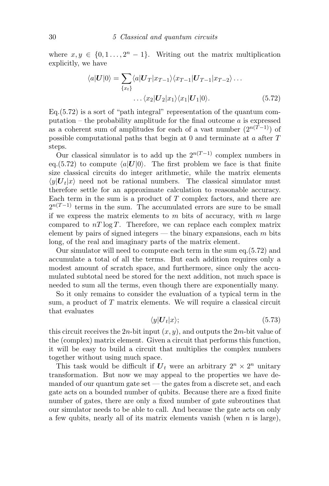where  $x, y \in \{0, 1, \ldots, 2^n - 1\}$ . Writing out the matrix multiplication explicitly, we have

$$
\langle a|U|0\rangle = \sum_{\{x_t\}} \langle a|U_T|x_{T-1}\rangle \langle x_{T-1}|U_{T-1}|x_{T-2}\rangle \dots
$$

$$
\dots \langle x_2|U_2|x_1\rangle \langle x_1|U_1|0\rangle. \tag{5.72}
$$

 $Eq.(5.72)$  is a sort of "path integral" representation of the quantum computation – the probability amplitude for the final outcome  $\alpha$  is expressed as a coherent sum of amplitudes for each of a vast number  $(2^{n(T-1)})$  of possible computational paths that begin at 0 and terminate at a after T steps.

Our classical simulator is to add up the  $2^{n(T-1)}$  complex numbers in eq.(5.72) to compute  $\langle a|U|0\rangle$ . The first problem we face is that finite size classical circuits do integer arithmetic, while the matrix elements  $\langle y|U_t|x\rangle$  need not be rational numbers. The classical simulator must therefore settle for an approximate calculation to reasonable accuracy. Each term in the sum is a product of  $T$  complex factors, and there are  $2^{n(T-1)}$  terms in the sum. The accumulated errors are sure to be small if we express the matrix elements to  $m$  bits of accuracy, with  $m$  large compared to  $nT \log T$ . Therefore, we can replace each complex matrix element by pairs of signed integers — the binary expansions, each  $m$  bits long, of the real and imaginary parts of the matrix element.

Our simulator will need to compute each term in the sum eq.(5.72) and accumulate a total of all the terms. But each addition requires only a modest amount of scratch space, and furthermore, since only the accumulated subtotal need be stored for the next addition, not much space is needed to sum all the terms, even though there are exponentially many.

So it only remains to consider the evaluation of a typical term in the sum, a product of T matrix elements. We will require a classical circuit that evaluates

$$
\langle y|U_t|x\rangle;\tag{5.73}
$$

this circuit receives the 2*n*-bit input  $(x, y)$ , and outputs the 2*m*-bit value of the (complex) matrix element. Given a circuit that performs this function, it will be easy to build a circuit that multiplies the complex numbers together without using much space.

This task would be difficult if  $\mathbf{U}_t$  were an arbitrary  $2^n \times 2^n$  unitary transformation. But now we may appeal to the properties we have demanded of our quantum gate set  $-$  the gates from a discrete set, and each gate acts on a bounded number of qubits. Because there are a fixed finite number of gates, there are only a fixed number of gate subroutines that our simulator needs to be able to call. And because the gate acts on only a few qubits, nearly all of its matrix elements vanish (when  $n$  is large),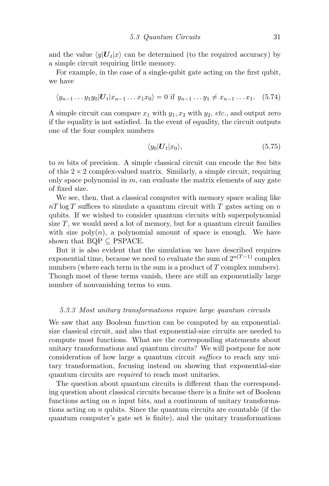and the value  $\langle y|U_t|x\rangle$  can be determined (to the required accuracy) by a simple circuit requiring little memory.

For example, in the case of a single-qubit gate acting on the first qubit, we have

$$
\langle y_{n-1} \dots y_1 y_0 | U_t | x_{n-1} \dots x_1 x_0 \rangle = 0 \text{ if } y_{n-1} \dots y_1 \neq x_{n-1} \dots x_1. \quad (5.74)
$$

A simple circuit can compare  $x_1$  with  $y_1, x_2$  with  $y_2$ , etc., and output zero if the equality is not satisfied. In the event of equality, the circuit outputs one of the four complex numbers

$$
\langle y_0 | \boldsymbol{U}_t | x_0 \rangle,\tag{5.75}
$$

to m bits of precision. A simple classical circuit can encode the 8m bits of this  $2 \times 2$  complex-valued matrix. Similarly, a simple circuit, requiring only space polynomial in  $m$ , can evaluate the matrix elements of any gate of fixed size.

We see, then, that a classical computer with memory space scaling like  $nT \log T$  suffices to simulate a quantum circuit with T gates acting on n qubits. If we wished to consider quantum circuits with superpolynomial size  $T$ , we would need a lot of memory, but for a quantum circuit families with size  $poly(n)$ , a polynomial amount of space is enough. We have shown that  $BQP \subset PSPACE$ .

But it is also evident that the simulation we have described requires exponential time, because we need to evaluate the sum of  $2^{n(T-1)}$  complex numbers (where each term in the sum is a product of  $T$  complex numbers). Though most of these terms vanish, there are still an exponentially large number of nonvanishing terms to sum.

#### 5.3.3 Most unitary transformations require large quantum circuits

We saw that any Boolean function can be computed by an exponentialsize classical circuit, and also that exponential-size circuits are needed to compute most functions. What are the corresponding statements about unitary transformations and quantum circuits? We will postpone for now consideration of how large a quantum circuit suffices to reach any unitary transformation, focusing instead on showing that exponential-size quantum circuits are required to reach most unitaries.

The question about quantum circuits is different than the corresponding question about classical circuits because there is a finite set of Boolean functions acting on  $n$  input bits, and a continuum of unitary transformations acting on n qubits. Since the quantum circuits are countable (if the quantum computer's gate set is finite), and the unitary transformations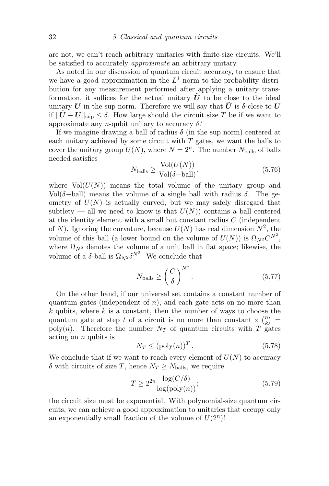are not, we can't reach arbitrary unitaries with finite-size circuits. We'll be satisfied to accurately approximate an arbitrary unitary.

As noted in our discussion of quantum circuit accuracy, to ensure that we have a good approximation in the  $L^1$  norm to the probability distribution for any measurement performed after applying a unitary transformation, it suffices for the actual unitary  $\bar{U}$  to be close to the ideal unitary U in the sup norm. Therefore we will say that  $\hat{U}$  is  $\delta$ -close to U if  $\|\tilde{U} - U\|_{\text{sup}} \leq \delta$ . How large should the circuit size T be if we want to approximate any *n*-qubit unitary to accuracy  $\delta$ ?

If we imagine drawing a ball of radius  $\delta$  (in the sup norm) centered at each unitary achieved by some circuit with  $T$  gates, we want the balls to cover the unitary group  $U(N)$ , where  $N = 2<sup>n</sup>$ . The number  $N_{\text{balls}}$  of balls needed satisfies

$$
N_{\text{balls}} \ge \frac{\text{Vol}(U(N))}{\text{Vol}(\delta - \text{ball})},\tag{5.76}
$$

where  $Vol(U(N))$  means the total volume of the unitary group and Vol( $\delta$ -ball) means the volume of a single ball with radius  $\delta$ . The geometry of  $U(N)$  is actually curved, but we may safely disregard that subtlety — all we need to know is that  $U(N)$  contains a ball centered at the identity element with a small but constant radius C (independent of N). Ignoring the curvature, because  $U(N)$  has real dimension  $N^2$ , the volume of this ball (a lower bound on the volume of  $U(N)$ ) is  $\Omega_{N^2} C^{N^2}$ , where  $\Omega_{N^2}$  denotes the volume of a unit ball in flat space; likewise, the volume of a δ-ball is  $\Omega_{N^2} \delta^{N^2}$ . We conclude that

$$
N_{\text{balls}} \ge \left(\frac{C}{\delta}\right)^{N^2}.\tag{5.77}
$$

On the other hand, if our universal set contains a constant number of quantum gates (independent of  $n$ ), and each gate acts on no more than  $k$  qubits, where  $k$  is a constant, then the number of ways to choose the quantum gate at step t of a circuit is no more than constant  $\times$   $\binom{n}{k}$  $\binom{n}{k}$  = poly(n). Therefore the number  $N_T$  of quantum circuits with T gates acting on  $n$  qubits is

$$
N_T \leq (\text{poly}(n))^T. \tag{5.78}
$$

We conclude that if we want to reach every element of  $U(N)$  to accuracy δ with circuits of size T, hence  $N_T \geq N_{\text{balls}}$ , we require

$$
T \ge 2^{2n} \frac{\log(C/\delta)}{\log(\text{poly}(n))};\tag{5.79}
$$

the circuit size must be exponential. With polynomial-size quantum circuits, we can achieve a good approximation to unitaries that occupy only an exponentially small fraction of the volume of  $U(2^n)$ !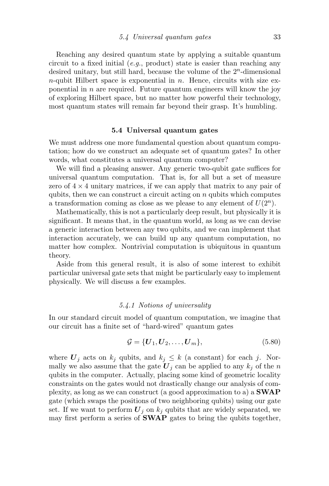Reaching any desired quantum state by applying a suitable quantum circuit to a fixed initial  $(e.g., \text{ product})$  state is easier than reaching any desired unitary, but still hard, because the volume of the  $2<sup>n</sup>$ -dimensional  $n$ -qubit Hilbert space is exponential in  $n$ . Hence, circuits with size exponential in  $n$  are required. Future quantum engineers will know the joy of exploring Hilbert space, but no matter how powerful their technology, most quantum states will remain far beyond their grasp. It's humbling.

#### 5.4 Universal quantum gates

We must address one more fundamental question about quantum computation; how do we construct an adequate set of quantum gates? In other words, what constitutes a universal quantum computer?

We will find a pleasing answer. Any generic two-qubit gate suffices for universal quantum computation. That is, for all but a set of measure zero of  $4 \times 4$  unitary matrices, if we can apply that matrix to any pair of qubits, then we can construct a circuit acting on  $n$  qubits which computes a transformation coming as close as we please to any element of  $U(2^n)$ .

Mathematically, this is not a particularly deep result, but physically it is significant. It means that, in the quantum world, as long as we can devise a generic interaction between any two qubits, and we can implement that interaction accurately, we can build up any quantum computation, no matter how complex. Nontrivial computation is ubiquitous in quantum theory.

Aside from this general result, it is also of some interest to exhibit particular universal gate sets that might be particularly easy to implement physically. We will discuss a few examples.

#### 5.4.1 Notions of universality

In our standard circuit model of quantum computation, we imagine that our circuit has a finite set of "hard-wired" quantum gates

$$
\mathcal{G} = \{U_1, U_2, \dots, U_m\},\tag{5.80}
$$

where  $U_j$  acts on  $k_j$  qubits, and  $k_j \leq k$  (a constant) for each j. Normally we also assume that the gate  $\mathbf{U}_i$  can be applied to any  $k_i$  of the n qubits in the computer. Actually, placing some kind of geometric locality constraints on the gates would not drastically change our analysis of complexity, as long as we can construct (a good approximation to a) a SWAP gate (which swaps the positions of two neighboring qubits) using our gate set. If we want to perform  $U_j$  on  $k_j$  qubits that are widely separated, we may first perform a series of **SWAP** gates to bring the qubits together,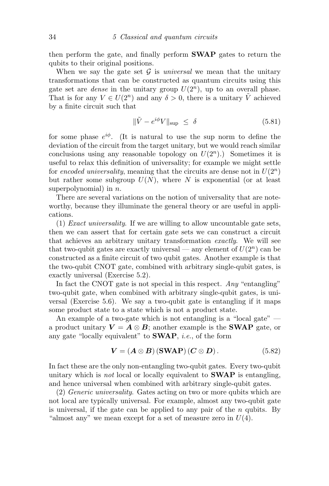then perform the gate, and finally perform SWAP gates to return the qubits to their original positions.

When we say the gate set  $G$  is *universal* we mean that the unitary transformations that can be constructed as quantum circuits using this gate set are *dense* in the unitary group  $U(2^n)$ , up to an overall phase. That is for any  $V \in U(2^n)$  and any  $\delta > 0$ , there is a unitary  $\tilde{V}$  achieved by a finite circuit such that

$$
\|\tilde{V} - e^{i\phi}V\|_{\text{sup}} \le \delta \tag{5.81}
$$

for some phase  $e^{i\phi}$ . (It is natural to use the sup norm to define the deviation of the circuit from the target unitary, but we would reach similar conclusions using any reasonable topology on  $U(2^n)$ . Sometimes it is useful to relax this definition of universality; for example we might settle for encoded universality, meaning that the circuits are dense not in  $U(2^n)$ but rather some subgroup  $U(N)$ , where N is exponential (or at least superpolynomial) in  $n$ .

There are several variations on the notion of universality that are noteworthy, because they illuminate the general theory or are useful in applications.

(1) Exact universality. If we are willing to allow uncountable gate sets, then we can assert that for certain gate sets we can construct a circuit that achieves an arbitrary unitary transformation exactly. We will see that two-qubit gates are exactly universal — any element of  $U(2^n)$  can be constructed as a finite circuit of two qubit gates. Another example is that the two-qubit CNOT gate, combined with arbitrary single-qubit gates, is exactly universal (Exercise 5.2).

In fact the CNOT gate is not special in this respect. Any "entangling" two-qubit gate, when combined with arbitrary single-qubit gates, is universal (Exercise 5.6). We say a two-qubit gate is entangling if it maps some product state to a state which is not a product state.

An example of a two-gate which is not entangling is a "local gate" a product unitary  $V = A \otimes B$ ; another example is the **SWAP** gate, or any gate "locally equivalent" to  $\mathbf{SWAP}, i.e.,$  of the form

$$
V = (A \otimes B) (\text{SWAP}) (C \otimes D). \tag{5.82}
$$

In fact these are the only non-entangling two-qubit gates. Every two-qubit unitary which is *not* local or locally equivalent to **SWAP** is entangling, and hence universal when combined with arbitrary single-qubit gates.

(2) Generic universality. Gates acting on two or more qubits which are not local are typically universal. For example, almost any two-qubit gate is universal, if the gate can be applied to any pair of the  $n$  qubits. By "almost any" we mean except for a set of measure zero in  $U(4)$ .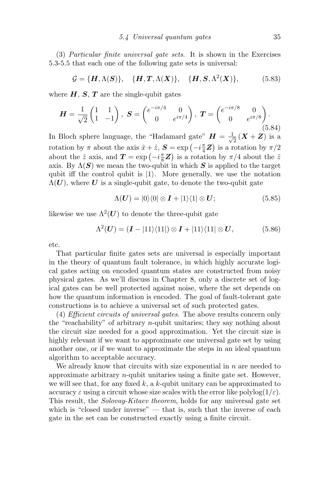(3) Particular finite universal gate sets. It is shown in the Exercises 5.3-5.5 that each one of the following gate sets is universal:

$$
\mathcal{G} = \{H, \Lambda(S)\}, \quad \{H, T, \Lambda(X)\}, \quad \{H, S, \Lambda^2(X)\}, \tag{5.83}
$$

where  $H, S, T$  are the single-qubit gates

$$
\boldsymbol{H} = \frac{1}{\sqrt{2}} \begin{pmatrix} 1 & 1 \\ 1 & -1 \end{pmatrix}, \ \ \boldsymbol{S} = \begin{pmatrix} e^{-i\pi/4} & 0 \\ 0 & e^{i\pi/4} \end{pmatrix}, \ \ \boldsymbol{T} = \begin{pmatrix} e^{-i\pi/8} & 0 \\ 0 & e^{i\pi/8} \end{pmatrix}.
$$
\n(5.84)

In Bloch sphere language, the "Hadamard gate"  $H = \frac{1}{\sqrt{2}}$  $\frac{1}{2}(\boldsymbol{X} + \boldsymbol{Z})$  is a rotation by  $\pi$  about the axis  $\hat{x} + \hat{z}$ ,  $S = \exp(-i\frac{\pi}{4}Z)$  is a rotation by  $\pi/2$ about the  $\hat{z}$  axis, and  $\mathbf{T} = \exp(-i\frac{\pi}{8}\mathbf{Z})$  is a rotation by  $\pi/4$  about the  $\hat{z}$ axis. By  $\Lambda(\mathbf{S})$  we mean the two-qubit in which  $\mathbf{S}$  is applied to the target qubit iff the control qubit is  $|1\rangle$ . More generally, we use the notation  $\Lambda(U)$ , where U is a single-qubit gate, to denote the two-qubit gate

$$
\Lambda(U) = |0\rangle\langle 0| \otimes I + |1\rangle\langle 1| \otimes U; \tag{5.85}
$$

likewise we use  $\Lambda^2(U)$  to denote the three-qubit gate

$$
\Lambda^{2}(U) = (I - |11\rangle\langle11|) \otimes I + |11\rangle\langle11| \otimes U, \qquad (5.86)
$$

etc.

That particular finite gates sets are universal is especially important in the theory of quantum fault tolerance, in which highly accurate logical gates acting on encoded quantum states are constructed from noisy physical gates. As we'll discuss in Chapter 8, only a discrete set of logical gates can be well protected against noise, where the set depends on how the quantum information is encoded. The goal of fault-tolerant gate constructions is to achieve a universal set of such protected gates.

(4) Efficient circuits of universal gates. The above results concern only the "reachability" of arbitrary n-qubit unitaries; they say nothing about the circuit size needed for a good approximation. Yet the circuit size is highly relevant if we want to approximate one universal gate set by using another one, or if we want to approximate the steps in an ideal quantum algorithm to acceptable accuracy.

We already know that circuits with size exponential in  $n$  are needed to approximate arbitrary  $n$ -qubit unitaries using a finite gate set. However, we will see that, for any fixed  $k$ , a  $k$ -qubit unitary can be approximated to accuracy  $\varepsilon$  using a circuit whose size scales with the error like polylog $(1/\varepsilon)$ . This result, the Solovay-Kitaev theorem, holds for any universal gate set which is "closed under inverse" — that is, such that the inverse of each gate in the set can be constructed exactly using a finite circuit.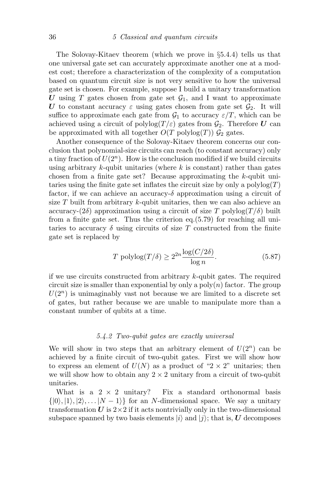The Solovay-Kitaev theorem (which we prove in  $\S 5.4.4$ ) tells us that one universal gate set can accurately approximate another one at a modest cost; therefore a characterization of the complexity of a computation based on quantum circuit size is not very sensitive to how the universal gate set is chosen. For example, suppose I build a unitary transformation U using T gates chosen from gate set  $\mathcal{G}_1$ , and I want to approximate U to constant accuracy  $\varepsilon$  using gates chosen from gate set  $\mathcal{G}_2$ . It will suffice to approximate each gate from  $\mathcal{G}_1$  to accuracy  $\varepsilon/T$ , which can be achieved using a circuit of polylog( $T/\varepsilon$ ) gates from  $\mathcal{G}_2$ . Therefore U can be approximated with all together  $O(T \text{ polylog}(T))$   $\mathcal{G}_2$  gates.

Another consequence of the Solovay-Kitaev theorem concerns our conclusion that polynomial-size circuits can reach (to constant accuracy) only a tiny fraction of  $U(2^n)$ . How is the conclusion modified if we build circuits using arbitrary  $k$ -qubit unitaries (where  $k$  is constant) rather than gates chosen from a finite gate set? Because approximating the k-qubit unitaries using the finite gate set inflates the circuit size by only a  $polylog(T)$ factor, if we can achieve an accuracy- $\delta$  approximation using a circuit of size  $T$  built from arbitrary  $k$ -qubit unitaries, then we can also achieve an accuracy-(2δ) approximation using a circuit of size T polylog( $T/\delta$ ) built from a finite gate set. Thus the criterion eq.(5.79) for reaching all unitaries to accuracy  $\delta$  using circuits of size T constructed from the finite gate set is replaced by

$$
T \text{ polylog}(T/\delta) \ge 2^{2n} \frac{\log(C/2\delta)}{\log n}.
$$
 (5.87)

if we use circuits constructed from arbitrary  $k$ -qubit gates. The required circuit size is smaller than exponential by only a  $poly(n)$  factor. The group  $U(2^n)$  is unimaginably vast not because we are limited to a discrete set of gates, but rather because we are unable to manipulate more than a constant number of qubits at a time.

#### 5.4.2 Two-qubit gates are exactly universal

We will show in two steps that an arbitrary element of  $U(2^n)$  can be achieved by a finite circuit of two-qubit gates. First we will show how to express an element of  $U(N)$  as a product of "2  $\times$  2" unitaries; then we will show how to obtain any  $2 \times 2$  unitary from a circuit of two-qubit unitaries.

What is a  $2 \times 2$  unitary? Fix a standard orthonormal basis  $\{|0\rangle, |1\rangle, |2\rangle, \ldots, |N-1\rangle\}$  for an N-dimensional space. We say a unitary transformation  $U$  is  $2 \times 2$  if it acts nontrivially only in the two-dimensional subspace spanned by two basis elements  $|i\rangle$  and  $|j\rangle$ ; that is, U decomposes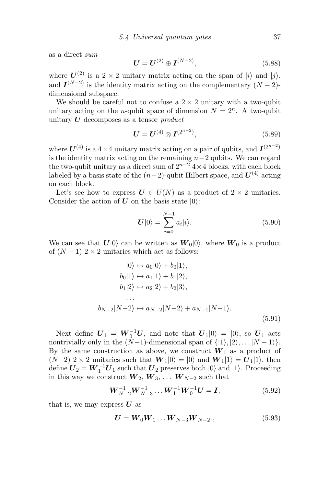as a direct sum

$$
U = U^{(2)} \oplus I^{(N-2)}, \tag{5.88}
$$

where  $U^{(2)}$  is a  $2 \times 2$  unitary matrix acting on the span of  $|i\rangle$  and  $|j\rangle$ , and  $\mathbf{I}^{(N-2)}$  is the identity matrix acting on the complementary  $(N-2)$ dimensional subspace.

We should be careful not to confuse a  $2 \times 2$  unitary with a two-qubit unitary acting on the *n*-qubit space of dimension  $N = 2<sup>n</sup>$ . A two-qubit unitary  $U$  decomposes as a tensor *product* 

$$
U = U^{(4)} \otimes I^{(2^{n-2})}, \tag{5.89}
$$

where  $U^{(4)}$  is a 4 × 4 unitary matrix acting on a pair of qubits, and  $I^{(2^{n-2})}$ is the identity matrix acting on the remaining  $n-2$  qubits. We can regard the two-qubit unitary as a direct sum of  $2^{n-2}$  4×4 blocks, with each block labeled by a basis state of the  $(n-2)$ -qubit Hilbert space, and  $U^{(4)}$  acting on each block.

Let's see how to express  $U \in U(N)$  as a product of  $2 \times 2$  unitaries. Consider the action of  $U$  on the basis state  $|0\rangle$ :

$$
\boldsymbol{U}|0\rangle = \sum_{i=0}^{N-1} a_i |i\rangle. \tag{5.90}
$$

We can see that  $U|0\rangle$  can be written as  $W_0|0\rangle$ , where  $W_0$  is a product of  $(N-1)$  2 × 2 unitaries which act as follows:

$$
|0\rangle \mapsto a_0|0\rangle + b_0|1\rangle,
$$
  
\n
$$
b_0|1\rangle \mapsto a_1|1\rangle + b_1|2\rangle,
$$
  
\n
$$
b_1|2\rangle \mapsto a_2|2\rangle + b_2|3\rangle,
$$
  
\n...  
\n
$$
b_{N-2}|N-2\rangle \mapsto a_{N-2}|N-2\rangle + a_{N-1}|N-1\rangle.
$$
  
\n(5.91)

Next define  $\boldsymbol{U}_1 = \boldsymbol{W}_0^{-1} \boldsymbol{U}$ , and note that  $\boldsymbol{U}_1 |0\rangle = |0\rangle$ , so  $\boldsymbol{U}_1$  acts nontrivially only in the  $(N-1)$ -dimensional span of  $\{|1\rangle, |2\rangle, \ldots |N-1\rangle\}.$ By the same construction as above, we construct  $W_1$  as a product of  $(N-2)$  2 × 2 unitaries such that  $W_1|0\rangle = |0\rangle$  and  $W_1|1\rangle = U_1|1\rangle$ , then define  $\boldsymbol{U}_2 = \boldsymbol{W}_1^{-1} \boldsymbol{U}_1$  such that  $\boldsymbol{U}_2$  preserves both  $|0\rangle$  and  $|1\rangle$ . Proceeding in this way we construct  $W_2, W_3, \ldots W_{N-2}$  such that

$$
\mathbf{W}_{N-2}^{-1}\mathbf{W}_{N-3}^{-1}\dots\mathbf{W}_1^{-1}\mathbf{W}_0^{-1}\mathbf{U} = \mathbf{I};
$$
\n(5.92)

that is, we may express  $\boldsymbol{U}$  as

$$
U = W_0 W_1 \dots W_{N-3} W_{N-2} , \qquad (5.93)
$$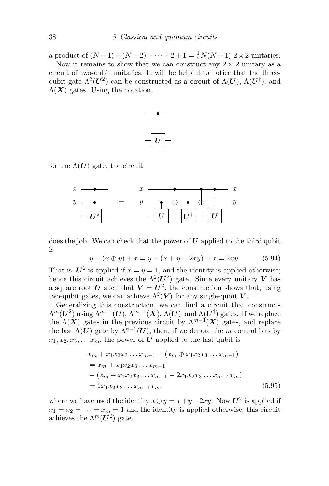a product of  $(N-1) + (N-2) + \cdots + 2 + 1 = \frac{1}{2}N(N-1)$  2 × 2 unitaries.

Now it remains to show that we can construct any  $2 \times 2$  unitary as a circuit of two-qubit unitaries. It will be helpful to notice that the threequbit gate  $\Lambda^2(U^2)$  can be constructed as a circuit of  $\Lambda(U)$ ,  $\Lambda(U^{\dagger})$ , and  $\Lambda(X)$  gates. Using the notation



for the  $\Lambda(U)$  gate, the circuit



does the job. We can check that the power of  $U$  applied to the third qubit is

$$
y - (x \oplus y) + x = y - (x + y - 2xy) + x = 2xy.
$$
 (5.94)

That is,  $U^2$  is applied if  $x = y = 1$ , and the identity is applied otherwise; hence this circuit achieves the  $\Lambda^2(U^2)$  gate. Since every unitary V has a square root U such that  $V = U^2$ , the construction shows that, using two-qubit gates, we can achieve  $\Lambda^2(V)$  for any single-qubit V.

Generalizing this construction, we can find a circuit that constructs  $\Lambda^m(\bm{U}^2)$  using  $\Lambda^{m-1}(\bm{U}), \Lambda^{m-1}(\bm{X}), \Lambda(\bm{U}),$  and  $\Lambda(\bm{U}^{\dagger})$  gates. If we replace the  $\Lambda(X)$  gates in the previous circuit by  $\Lambda^{m-1}(X)$  gates, and replace the last  $\Lambda(U)$  gate by  $\Lambda^{n-1}(U)$ , then, if we denote the m control bits by  $x_1, x_2, x_3, \ldots, x_m$ , the power of U applied to the last qubit is

$$
x_{m} + x_{1}x_{2}x_{3}...x_{m-1} - (x_{m} \oplus x_{1}x_{2}x_{3}...x_{m-1})
$$
  
=  $x_{m} + x_{1}x_{2}x_{3}...x_{m-1}$   
-  $(x_{m} + x_{1}x_{2}x_{3}...x_{m-1} - 2x_{1}x_{2}x_{3}...x_{m-1}x_{m})$   
=  $2x_{1}x_{2}x_{3}...x_{m-1}x_{m}$ , (5.95)

where we have used the identity  $x \oplus y = x + y - 2xy$ . Now  $\mathbf{U}^2$  is applied if  $x_1 = x_2 = \cdots = x_m = 1$  and the identity is applied otherwise; this circuit achieves the  $\Lambda^m(U^2)$  gate.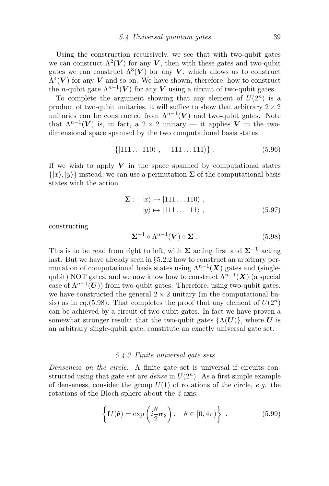Using the construction recursively, we see that with two-qubit gates we can construct  $\Lambda^2(V)$  for any V, then with these gates and two-qubit gates we can construct  $\Lambda^3(V)$  for any V, which allows us to construct  $\Lambda^4(V)$  for any V and so on. We have shown, therefore, how to construct the *n*-qubit gate  $\Lambda^{n-1}(V)$  for any V using a circuit of two-qubit gates.

To complete the argument showing that any element of  $U(2^n)$  is a product of two-qubit unitaries, it will suffice to show that arbitrary  $2 \times 2$ unitaries can be constructed from  $\Lambda^{n-1}(V)$  and two-qubit gates. Note that  $\Lambda^{n-1}(V)$  is, in fact, a 2 × 2 unitary — it applies V in the twodimensional space spanned by the two computational basis states

$$
\{|111...110\rangle , |111...111\rangle \} . \tag{5.96}
$$

If we wish to apply  $V$  in the space spanned by computational states  $\{|x\rangle, |y\rangle\}$  instead, we can use a permutation  $\Sigma$  of the computational basis states with the action

$$
\Sigma: |x\rangle \mapsto |111 \dots 110\rangle ,|y\rangle \mapsto |111 \dots 111\rangle , \qquad (5.97)
$$

constructing

$$
\Sigma^{-1} \circ \Lambda^{n-1}(V) \circ \Sigma . \tag{5.98}
$$

This is to be read from right to left, with  $\Sigma$  acting first and  $\Sigma^{-1}$  acting last. But we have already seen in §5.2.2 how to construct an arbitrary permutation of computational basis states using  $\Lambda^{n-1}(\boldsymbol{X})$  gates and (singlequbit) NOT gates, and we now know how to construct  $\Lambda^{n-1}(\boldsymbol{X})$  (a special case of  $\Lambda^{n-1}(U)$  from two-qubit gates. Therefore, using two-qubit gates, we have constructed the general  $2 \times 2$  unitary (in the computational basis) as in eq.(5.98). That completes the proof that any element of  $U(2^n)$ can be achieved by a circuit of two-qubit gates. In fact we have proven a somewhat stronger result: that the two-qubit gates  $\{\Lambda(U)\}\)$ , where U is an arbitrary single-qubit gate, constitute an exactly universal gate set.

## 5.4.3 Finite universal gate sets

Denseness on the circle. A finite gate set is universal if circuits constructed using that gate set are *dense* in  $U(2^n)$ . As a first simple example of denseness, consider the group  $U(1)$  of rotations of the circle, e.g. the rotations of the Bloch sphere about the  $\hat{z}$  axis:

$$
\left\{ \boldsymbol{U}(\theta) = \exp\left(i\frac{\theta}{2}\boldsymbol{\sigma}_3\right), \quad \theta \in [0, 4\pi) \right\} . \tag{5.99}
$$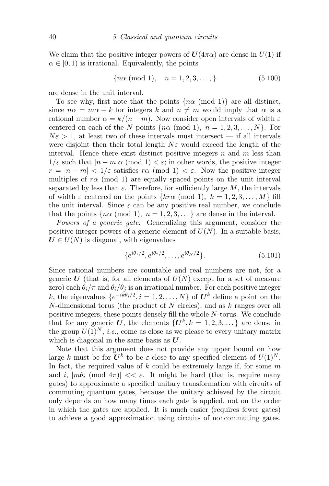We claim that the positive integer powers of  $U(4\pi\alpha)$  are dense in  $U(1)$  if  $\alpha \in [0, 1)$  is irrational. Equivalently, the points

$$
\{n\alpha \pmod{1}, \quad n = 1, 2, 3, \dots, \}
$$
\n(5.100)

are dense in the unit interval.

To see why, first note that the points  $\{n\alpha \pmod{1}\}$  are all distinct, since  $n\alpha = m\alpha + k$  for integers k and  $n \neq m$  would imply that  $\alpha$  is a rational number  $\alpha = k/(n-m)$ . Now consider open intervals of width  $\varepsilon$ centered on each of the N points  $\{n\alpha \pmod{1}, n = 1, 2, 3, ..., N\}$ . For  $N\varepsilon > 1$ , at least two of these intervals must intersect — if all intervals were disjoint then their total length  $N\varepsilon$  would exceed the length of the interval. Hence there exist distinct positive integers  $n$  and  $m$  less than  $1/\varepsilon$  such that  $|n - m|\alpha \pmod{1} < \varepsilon$ ; in other words, the positive integer  $r = |n - m| < 1/\varepsilon$  satisfies  $r\alpha \pmod{1} < \varepsilon$ . Now the positive integer multiples of  $r\alpha$  (mod 1) are equally spaced points on the unit interval separated by less than  $\varepsilon$ . Therefore, for sufficiently large M, the intervals of width  $\varepsilon$  centered on the points  $\{kra \pmod{1}, k = 1, 2, 3, ..., M\}$  fill the unit interval. Since  $\varepsilon$  can be any positive real number, we conclude that the points  $\{n\alpha \pmod{1}, n = 1, 2, 3, ...\}$  are dense in the interval.

Powers of a generic gate. Generalizing this argument, consider the positive integer powers of a generic element of  $U(N)$ . In a suitable basis,  $U \in U(N)$  is diagonal, with eigenvalues

$$
\{e^{i\theta_1/2}, e^{i\theta_2/2}, \dots, e^{i\theta_N/2}\}.
$$
\n(5.101)

Since rational numbers are countable and real numbers are not, for a generic  $\boldsymbol{U}$  (that is, for all elements of  $U(N)$  except for a set of measure zero) each  $\theta_i/\pi$  and  $\theta_i/\theta_j$  is an irrational number. For each positive integer k, the eigenvalues  $\{e^{-ik\theta_i/2}, i=1,2,\ldots,N\}$  of  $\mathbf{U}^k$  define a point on the  $N$ -dimensional torus (the product of  $N$  circles), and as  $k$  ranges over all positive integers, these points densely fill the whole N-torus. We conclude that for any generic U, the elements  $\{U^k, k = 1, 2, 3, \dots\}$  are dense in the group  $U(1)^N$ , *i.e.*, come as close as we please to every unitary matrix which is diagonal in the same basis as  $U$ .

Note that this argument does not provide any upper bound on how large k must be for  $\mathbf{U}^k$  to be  $\varepsilon$ -close to any specified element of  $U(1)^N$ . In fact, the required value of  $k$  could be extremely large if, for some  $m$ and i,  $|m\theta_i| \pmod{4\pi}$   $<< \varepsilon$ . It might be hard (that is, require many gates) to approximate a specified unitary transformation with circuits of commuting quantum gates, because the unitary achieved by the circuit only depends on how many times each gate is applied, not on the order in which the gates are applied. It is much easier (requires fewer gates) to achieve a good approximation using circuits of noncommuting gates.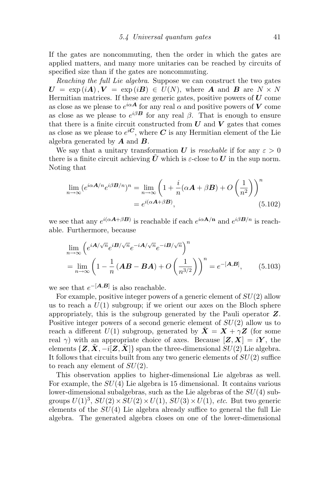If the gates are noncommuting, then the order in which the gates are applied matters, and many more unitaries can be reached by circuits of specified size than if the gates are noncommuting.

Reaching the full Lie algebra. Suppose we can construct the two gates  $U = \exp(iA)$ ,  $V = \exp(iB) \in U(N)$ , where A and B are  $N \times N$ Hermitian matrices. If these are generic gates, positive powers of  $U$  come as close as we please to  $e^{i\alpha A}$  for any real  $\alpha$  and positive powers of V come as close as we please to  $e^{i\beta B}$  for any real  $\beta$ . That is enough to ensure that there is a finite circuit constructed from  $U$  and  $V$  gates that comes as close as we please to  $e^{i\mathbf{C}}$ , where  $\mathbf{C}$  is any Hermitian element of the Lie algebra generated by  $A$  and  $B$ .

We say that a unitary transformation U is reachable if for any  $\varepsilon > 0$ there is a finite circuit achieving U which is  $\varepsilon$ -close to U in the sup norm. Noting that

$$
\lim_{n \to \infty} (e^{i\alpha \mathbf{A}/n} e^{i\beta \mathbf{B}/n})^n = \lim_{n \to \infty} \left( 1 + \frac{i}{n} (\alpha \mathbf{A} + \beta \mathbf{B}) + O\left(\frac{1}{n^2}\right) \right)^n
$$

$$
= e^{i(\alpha \mathbf{A} + \beta \mathbf{B})}, \tag{5.102}
$$

we see that any  $e^{i(\alpha A+\beta B)}$  is reachable if each  $e^{i\alpha A/n}$  and  $e^{i\beta B/n}$  is reachable. Furthermore, because

$$
\lim_{n \to \infty} \left( e^{i\mathbf{A}/\sqrt{n}} e^{i\mathbf{B}/\sqrt{n}} e^{-i\mathbf{A}/\sqrt{n}} e^{-i\mathbf{B}/\sqrt{n}} \right)^n
$$
\n
$$
= \lim_{n \to \infty} \left( 1 - \frac{1}{n} \left( \mathbf{A}\mathbf{B} - \mathbf{B}\mathbf{A} \right) + O\left( \frac{1}{n^{3/2}} \right) \right)^n = e^{-\left[ \mathbf{A}, \mathbf{B} \right]},\tag{5.103}
$$

we see that  $e^{-[A,B]}$  is also reachable.

For example, positive integer powers of a generic element of  $SU(2)$  allow us to reach a  $U(1)$  subgroup; if we orient our axes on the Bloch sphere appropriately, this is the subgroup generated by the Pauli operator Z. Positive integer powers of a second generic element of  $SU(2)$  allow us to reach a different  $U(1)$  subgroup, generated by  $\mathbf{X} = \mathbf{X} + \gamma \mathbf{Z}$  (for some real  $\gamma$ ) with an appropriate choice of axes. Because  $[\mathbf{Z}, \mathbf{X}] = i\mathbf{Y}$ , the elements  $\{Z, X, -i[Z, X]\}$  span the three-dimensional  $SU(2)$  Lie algebra. It follows that circuits built from any two generic elements of  $SU(2)$  suffice to reach any element of  $SU(2)$ .

This observation applies to higher-dimensional Lie algebras as well. For example, the  $SU(4)$  Lie algebra is 15 dimensional. It contains various lower-dimensional subalgebras, such as the Lie algebras of the  $SU(4)$  subgroups  $U(1)^3$ ,  $SU(2) \times SU(2) \times U(1)$ ,  $SU(3) \times U(1)$ , etc. But two generic elements of the  $SU(4)$  Lie algebra already suffice to general the full Lie algebra. The generated algebra closes on one of the lower-dimensional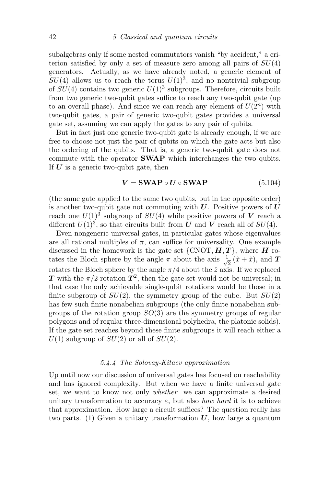subalgebras only if some nested commutators vanish "by accident," a criterion satisfied by only a set of measure zero among all pairs of  $SU(4)$ generators. Actually, as we have already noted, a generic element of  $SU(4)$  allows us to reach the torus  $U(1)^3$ , and no nontrivial subgroup of  $SU(4)$  contains two generic  $U(1)^3$  subgroups. Therefore, circuits built from two generic two-qubit gates suffice to reach any two-qubit gate (up to an overall phase). And since we can reach any element of  $U(2^n)$  with two-qubit gates, a pair of generic two-qubit gates provides a universal gate set, assuming we can apply the gates to any pair of qubits.

But in fact just one generic two-qubit gate is already enough, if we are free to choose not just the pair of qubits on which the gate acts but also the ordering of the qubits. That is, a generic two-qubit gate does not commute with the operator SWAP which interchanges the two qubits. If  $U$  is a generic two-qubit gate, then

$$
V = \text{SWAP} \circ U \circ \text{SWAP} \tag{5.104}
$$

(the same gate applied to the same two qubits, but in the opposite order) is another two-qubit gate not commuting with  $U$ . Positive powers of  $U$ reach one  $U(1)^3$  subgroup of  $SU(4)$  while positive powers of V reach a different  $U(1)^3$ , so that circuits built from U and V reach all of  $SU(4)$ .

Even nongeneric universal gates, in particular gates whose eigenvalues are all rational multiples of  $\pi$ , can suffice for universality. One example discussed in the homework is the gate set  $\{CNOT, H, T\}$ , where H rotates the Bloch sphere by the angle  $\pi$  about the axis  $\frac{1}{\sqrt{2}}$  $\frac{1}{2}(\hat{x} + \hat{x})$ , and **T** rotates the Bloch sphere by the angle  $\pi/4$  about the  $\hat{z}$  axis. If we replaced T with the  $\pi/2$  rotation  $T^2$ , then the gate set would not be universal; in that case the only achievable single-qubit rotations would be those in a finite subgroup of  $SU(2)$ , the symmetry group of the cube. But  $SU(2)$ has few such finite nonabelian subgroups (the only finite nonabelian subgroups of the rotation group  $SO(3)$  are the symmetry groups of regular polygons and of regular three-dimensional polyhedra, the platonic solids). If the gate set reaches beyond these finite subgroups it will reach either a  $U(1)$  subgroup of  $SU(2)$  or all of  $SU(2)$ .

#### 5.4.4 The Solovay-Kitaev approximation

Up until now our discussion of universal gates has focused on reachability and has ignored complexity. But when we have a finite universal gate set, we want to know not only whether we can approximate a desired unitary transformation to accuracy  $\varepsilon$ , but also *how hard* it is to achieve that approximation. How large a circuit suffices? The question really has two parts. (1) Given a unitary transformation  $U$ , how large a quantum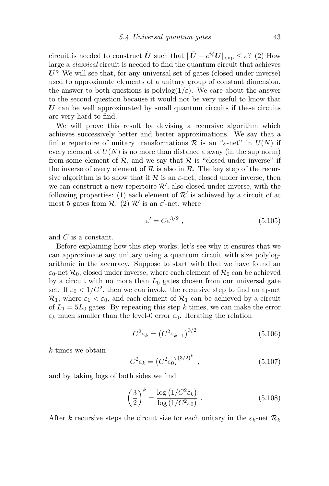circuit is needed to construct  $\tilde{U}$  such that  $\|\tilde{U} - e^{i\phi}U\|_{\text{sup}} \leq \varepsilon$ ? (2) How large a classical circuit is needed to find the quantum circuit that achieves  $U$ ? We will see that, for any universal set of gates (closed under inverse) used to approximate elements of a unitary group of constant dimension, the answer to both questions is polylog $(1/\varepsilon)$ . We care about the answer to the second question because it would not be very useful to know that  $U$  can be well approximated by small quantum circuits if these circuits are very hard to find.

We will prove this result by devising a recursive algorithm which achieves successively better and better approximations. We say that a finite repertoire of unitary transformations  $\mathcal R$  is an " $\varepsilon$ -net" in  $U(N)$  if every element of  $U(N)$  is no more than distance  $\varepsilon$  away (in the sup norm) from some element of  $R$ , and we say that  $R$  is "closed under inverse" if the inverse of every element of  $\mathcal R$  is also in  $\mathcal R$ . The key step of the recursive algorithm is to show that if  $\mathcal R$  is an  $\varepsilon$ -net, closed under inverse, then we can construct a new repertoire  $\mathcal{R}'$ , also closed under inverse, with the following properties: (1) each element of  $\mathcal{R}'$  is achieved by a circuit of at most 5 gates from  $\mathcal{R}$ . (2)  $\mathcal{R}'$  is an  $\varepsilon'$ -net, where

$$
\varepsilon' = C\varepsilon^{3/2} \,,\tag{5.105}
$$

and C is a constant.

Before explaining how this step works, let's see why it ensures that we can approximate any unitary using a quantum circuit with size polylogarithmic in the accuracy. Suppose to start with that we have found an  $\varepsilon_0$ -net  $\mathcal{R}_0$ , closed under inverse, where each element of  $\mathcal{R}_0$  can be achieved by a circuit with no more than  $L_0$  gates chosen from our universal gate set. If  $\varepsilon_0 < 1/C^2$ , then we can invoke the recursive step to find an  $\varepsilon_1$ -net  $\mathcal{R}_1$ , where  $\varepsilon_1 < \varepsilon_0$ , and each element of  $\mathcal{R}_1$  can be achieved by a circuit of  $L_1 = 5L_0$  gates. By repeating this step k times, we can make the error  $\varepsilon_k$  much smaller than the level-0 error  $\varepsilon_0$ . Iterating the relation

$$
C^2 \varepsilon_k = \left(C^2 \varepsilon_{k-1}\right)^{3/2} \tag{5.106}
$$

k times we obtain

$$
C^2 \varepsilon_k = (C^2 \varepsilon_0)^{(3/2)^k} , \qquad (5.107)
$$

and by taking logs of both sides we find

$$
\left(\frac{3}{2}\right)^k = \frac{\log\left(1/C^2 \varepsilon_k\right)}{\log\left(1/C^2 \varepsilon_0\right)} . \tag{5.108}
$$

After k recursive steps the circuit size for each unitary in the  $\varepsilon_k$ -net  $\mathcal{R}_k$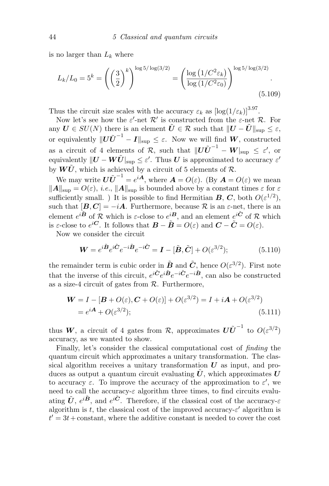is no larger than  $L_k$  where

$$
L_k/L_0 = 5^k = \left( \left( \frac{3}{2} \right)^k \right)^{\log 5/\log(3/2)} = \left( \frac{\log \left( 1/C^2 \varepsilon_k \right)}{\log \left( 1/C^2 \varepsilon_0 \right)} \right)^{\log 5/\log(3/2)}.
$$
\n(5.109)

Thus the circuit size scales with the accuracy  $\varepsilon_k$  as  $\left[ \log(1/\varepsilon_k) \right]^{3.97}$ .

Now let's see how the  $\varepsilon'$ -net  $\mathcal{R}'$  is constructed from the  $\varepsilon$ -net  $\mathcal{R}$ . For any  $U \in SU(N)$  there is an element  $\tilde{U} \in \mathcal{R}$  such that  $||U - \tilde{U}||_{\text{sup}} \leq \varepsilon$ , or equivalently  $||U\tilde{U}^{-1} - I||_{\text{sup}} \leq \varepsilon$ . Now we will find W, constructed as a circuit of 4 elements of  $\mathcal{R}$ , such that  $\|\boldsymbol{U}\tilde{\boldsymbol{U}}^{-1} - \boldsymbol{W}\|_{\sup} \leq \varepsilon'$ , or equivalently  $\|U - W\tilde{U} \|_{\sup} \leq \varepsilon'.$  Thus  $U$  is approximated to accuracy  $\varepsilon'$ by  $W\tilde{U}$ , which is achieved by a circuit of 5 elements of  $\mathcal{R}$ .

We may write  $\boldsymbol{U}\tilde{\boldsymbol{U}}^{-1} = e^{i\boldsymbol{A}},$  where  $\boldsymbol{A} = O(\varepsilon)$ . (By  $\boldsymbol{A} = O(\varepsilon)$  we mean  $||A||_{\text{sup}} = O(\varepsilon)$ , *i.e.*,  $||A||_{\text{sup}}$  is bounded above by a constant times  $\varepsilon$  for  $\varepsilon$ sufficiently small. ) It is possible to find Hermitian  $B, C$ , both  $O(\varepsilon^{1/2})$ , such that  $[\mathbf{B}, \mathbf{C}] = -i\mathbf{A}$ . Furthermore, because  $\mathcal R$  is an  $\varepsilon$ -net, there is an element  $e^{i\tilde{\mathbf{B}}}$  of  $\mathcal R$  which is  $\varepsilon$ -close to  $e^{i\mathbf{B}}$ , and an element  $e^{i\tilde{\mathbf{C}}}$  of  $\mathcal R$  which is  $\varepsilon$ -close to  $e^{i\mathbf{C}}$ . It follows that  $\mathbf{B} - \tilde{\mathbf{B}} = O(\varepsilon)$  and  $\mathbf{C} - \tilde{\mathbf{C}} = O(\varepsilon)$ .

Now we consider the circuit

$$
\mathbf{W} = e^{i\tilde{\mathbf{B}}}e^{i\tilde{\mathbf{C}}}e^{-i\tilde{\mathbf{B}}}e^{-i\tilde{\mathbf{C}}} = \mathbf{I} - [\tilde{\mathbf{B}}, \tilde{\mathbf{C}}] + O(\varepsilon^{3/2});\tag{5.110}
$$

the remainder term is cubic order in  $\tilde{B}$  and  $\tilde{C}$ , hence  $O(\varepsilon^{3/2})$ . First note that the inverse of this circuit,  $e^{i\tilde{\mathbf{C}}}e^{i\tilde{\mathbf{B}}}e^{-i\tilde{\mathbf{C}}}e^{-i\tilde{\mathbf{B}}}$ , can also be constructed as a size-4 circuit of gates from  $R$ . Furthermore,

$$
\mathbf{W} = I - [\mathbf{B} + O(\varepsilon), \mathbf{C} + O(\varepsilon)] + O(\varepsilon^{3/2}) = I + i\mathbf{A} + O(\varepsilon^{3/2})
$$
  
=  $e^{i\mathbf{A}} + O(\varepsilon^{3/2});$  (5.111)

thus W, a circuit of 4 gates from R, approximates  $\tilde{U} \tilde{U}^{-1}$  to  $O(\varepsilon^{3/2})$ accuracy, as we wanted to show.

Finally, let's consider the classical computational cost of finding the quantum circuit which approximates a unitary transformation. The classical algorithm receives a unitary transformation  $U$  as input, and produces as output a quantum circuit evaluating  $\hat{U}$ , which approximates  $U$ to accuracy  $\varepsilon$ . To improve the accuracy of the approximation to  $\varepsilon'$ , we need to call the accuracy- $\varepsilon$  algorithm three times, to find circuits evaluating  $\tilde{U}, e^{i\tilde{B}},$  and  $e^{i\tilde{C}}$ . Therefore, if the classical cost of the accuracy- $\varepsilon$ algorithm is t, the classical cost of the improved accuracy- $\varepsilon'$  algorithm is  $t' = 3t + \text{constant}$ , where the additive constant is needed to cover the cost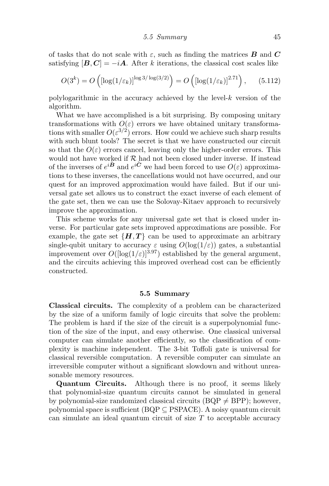of tasks that do not scale with  $\varepsilon$ , such as finding the matrices **B** and **C** satisfying  $[B, C] = -iA$ . After k iterations, the classical cost scales like

$$
O(3^k) = O\left(\left[\log(1/\varepsilon_k)\right]^{\log 3/\log(3/2)}\right) = O\left(\left[\log(1/\varepsilon_k)\right]^{2.71}\right),\tag{5.112}
$$

polylogarithmic in the accuracy achieved by the level- $k$  version of the algorithm.

What we have accomplished is a bit surprising. By composing unitary transformations with  $O(\varepsilon)$  errors we have obtained unitary transformations with smaller  $O(\varepsilon^{3/2})$  errors. How could we achieve such sharp results with such blunt tools? The secret is that we have constructed our circuit so that the  $O(\varepsilon)$  errors cancel, leaving only the higher-order errors. This would not have worked if  $R$  had not been closed under inverse. If instead of the inverses of  $e^{i\tilde{\mathbf{B}}}$  and  $e^{i\tilde{\mathbf{C}}}$  we had been forced to use  $O(\varepsilon)$  approximations to these inverses, the cancellations would not have occurred, and our quest for an improved approximation would have failed. But if our universal gate set allows us to construct the exact inverse of each element of the gate set, then we can use the Solovay-Kitaev approach to recursively improve the approximation.

This scheme works for any universal gate set that is closed under inverse. For particular gate sets improved approximations are possible. For example, the gate set  $\{H, T\}$  can be used to approximate an arbitrary single-qubit unitary to accuracy  $\varepsilon$  using  $O(\log(1/\varepsilon))$  gates, a substantial improvement over  $O(\log(1/\varepsilon))^{3.97}$  established by the general argument, and the circuits achieving this improved overhead cost can be efficiently constructed.

#### 5.5 Summary

Classical circuits. The complexity of a problem can be characterized by the size of a uniform family of logic circuits that solve the problem: The problem is hard if the size of the circuit is a superpolynomial function of the size of the input, and easy otherwise. One classical universal computer can simulate another efficiently, so the classification of complexity is machine independent. The 3-bit Toffoli gate is universal for classical reversible computation. A reversible computer can simulate an irreversible computer without a significant slowdown and without unreasonable memory resources.

Quantum Circuits. Although there is no proof, it seems likely that polynomial-size quantum circuits cannot be simulated in general by polynomial-size randomized classical circuits  $(BQP \neq BPP)$ ; however, polynomial space is sufficient ( $BQP \subseteq PSPACE$ ). A noisy quantum circuit can simulate an ideal quantum circuit of size  $T$  to acceptable accuracy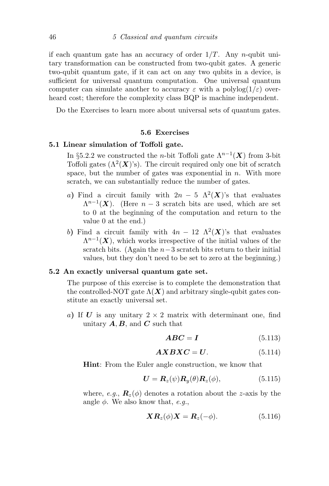if each quantum gate has an accuracy of order  $1/T$ . Any n-qubit unitary transformation can be constructed from two-qubit gates. A generic two-qubit quantum gate, if it can act on any two qubits in a device, is sufficient for universal quantum computation. One universal quantum computer can simulate another to accuracy  $\varepsilon$  with a polylog $(1/\varepsilon)$  overheard cost; therefore the complexity class BQP is machine independent.

Do the Exercises to learn more about universal sets of quantum gates.

## 5.6 Exercises

## 5.1 Linear simulation of Toffoli gate.

In §5.2.2 we constructed the *n*-bit Toffoli gate  $\Lambda^{n-1}(\boldsymbol{X})$  from 3-bit Toffoli gates  $(\Lambda^2(\boldsymbol{X})^s)$ . The circuit required only one bit of scratch space, but the number of gates was exponential in  $n$ . With more scratch, we can substantially reduce the number of gates.

- a) Find a circuit family with  $2n-5$   $\Lambda^2(X)$ 's that evaluates  $\Lambda^{n-1}(\boldsymbol{X})$ . (Here  $n-3$  scratch bits are used, which are set to 0 at the beginning of the computation and return to the value 0 at the end.)
- b) Find a circuit family with  $4n-12$   $\Lambda^2(X)$ 's that evaluates  $\Lambda^{n-1}(\boldsymbol{X})$ , which works irrespective of the initial values of the scratch bits. (Again the  $n-3$  scratch bits return to their initial values, but they don't need to be set to zero at the beginning.)

#### 5.2 An exactly universal quantum gate set.

The purpose of this exercise is to complete the demonstration that the controlled-NOT gate  $\Lambda(X)$  and arbitrary single-qubit gates constitute an exactly universal set.

a) If U is any unitary  $2 \times 2$  matrix with determinant one, find unitary  $A, B$ , and  $C$  such that

$$
ABC = I \tag{5.113}
$$

$$
AXBXC = U.\t(5.114)
$$

Hint: From the Euler angle construction, we know that

$$
\mathbf{U} = \mathbf{R}_z(\psi) \mathbf{R}_y(\theta) \mathbf{R}_z(\phi), \tag{5.115}
$$

where, e.g.,  $\mathbf{R}_z(\phi)$  denotes a rotation about the z-axis by the angle  $\phi$ . We also know that, e.g.,

$$
\boldsymbol{X}\boldsymbol{R}_z(\phi)\boldsymbol{X} = \boldsymbol{R}_z(-\phi). \tag{5.116}
$$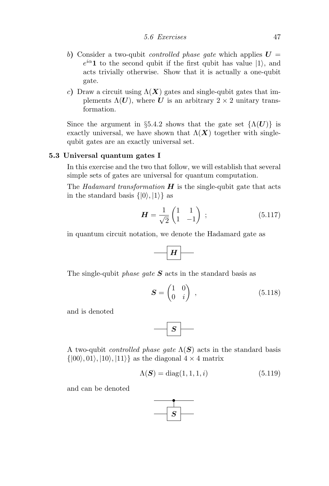- b) Consider a two-qubit *controlled phase gate* which applies  $U =$  $e^{i\alpha}$ **1** to the second qubit if the first qubit has value  $|1\rangle$ , and acts trivially otherwise. Show that it is actually a one-qubit gate.
- c) Draw a circuit using  $\Lambda(X)$  gates and single-qubit gates that implements  $\Lambda(U)$ , where U is an arbitrary  $2 \times 2$  unitary transformation.

Since the argument in §5.4.2 shows that the gate set  $\{\Lambda(U)\}\$ is exactly universal, we have shown that  $\Lambda(X)$  together with singlequbit gates are an exactly universal set.

## 5.3 Universal quantum gates I

In this exercise and the two that follow, we will establish that several simple sets of gates are universal for quantum computation.

The Hadamard transformation  $H$  is the single-qubit gate that acts in the standard basis  $\{|0\rangle, |1\rangle\}$  as

$$
\boldsymbol{H} = \frac{1}{\sqrt{2}} \begin{pmatrix} 1 & 1 \\ 1 & -1 \end{pmatrix} ; \qquad (5.117)
$$

in quantum circuit notation, we denote the Hadamard gate as

$$
\begin{array}{c|c} \hline H & \\\hline \end{array}
$$

The single-qubit *phase gate*  $S$  acts in the standard basis as

$$
\boldsymbol{S} = \begin{pmatrix} 1 & 0 \\ 0 & i \end{pmatrix} , \qquad (5.118)
$$

and is denoted



A two-qubit *controlled phase gate*  $\Lambda(S)$  acts in the standard basis  $\{|00\rangle, 01\rangle, |10\rangle, |11\rangle\}$  as the diagonal  $4 \times 4$  matrix

$$
\Lambda(\mathbf{S}) = \text{diag}(1, 1, 1, i) \tag{5.119}
$$

and can be denoted

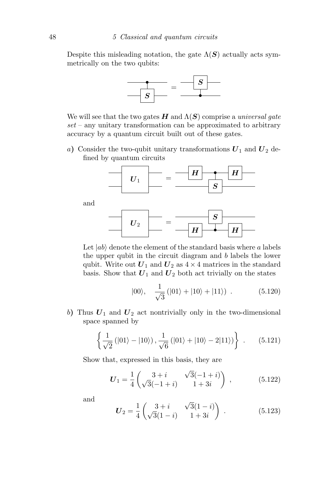Despite this misleading notation, the gate  $\Lambda(\mathbf{S})$  actually acts symmetrically on the two qubits:



We will see that the two gates  $H$  and  $\Lambda(S)$  comprise a universal gate  $set$  – any unitary transformation can be approximated to arbitrary accuracy by a quantum circuit built out of these gates.

a) Consider the two-qubit unitary transformations  $U_1$  and  $U_2$  defined by quantum circuits



and



Let  $|ab\rangle$  denote the element of the standard basis where a labels the upper qubit in the circuit diagram and b labels the lower qubit. Write out  $U_1$  and  $U_2$  as  $4 \times 4$  matrices in the standard basis. Show that  $U_1$  and  $U_2$  both act trivially on the states

$$
|00\rangle, \quad \frac{1}{\sqrt{3}}\left(|01\rangle + |10\rangle + |11\rangle\right) \ . \tag{5.120}
$$

b) Thus  $U_1$  and  $U_2$  act nontrivially only in the two-dimensional space spanned by

$$
\left\{ \frac{1}{\sqrt{2}} \left( |01\rangle - |10\rangle \right), \frac{1}{\sqrt{6}} \left( |01\rangle + |10\rangle - 2|11\rangle \right) \right\} .
$$
 (5.121)

Show that, expressed in this basis, they are

$$
U_1 = \frac{1}{4} \begin{pmatrix} 3+i & \sqrt{3}(-1+i) \\ \sqrt{3}(-1+i) & 1+3i \end{pmatrix} , \qquad (5.122)
$$

and

$$
U_2 = \frac{1}{4} \begin{pmatrix} 3+i & \sqrt{3}(1-i) \\ \sqrt{3}(1-i) & 1+3i \end{pmatrix} .
$$
 (5.123)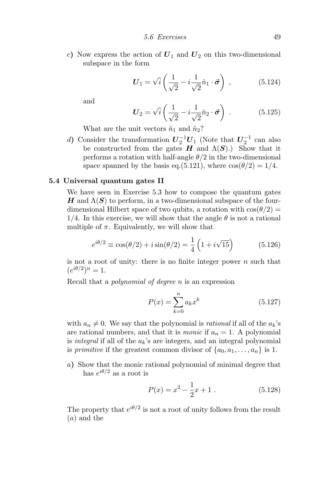c) Now express the action of  $U_1$  and  $U_2$  on this two-dimensional subspace in the form

$$
\boldsymbol{U}_1 = \sqrt{i} \left( \frac{1}{\sqrt{2}} - i \frac{1}{\sqrt{2}} \hat{n}_1 \cdot \vec{\boldsymbol{\sigma}} \right) , \qquad (5.124)
$$

and

$$
\boldsymbol{U}_2 = \sqrt{i} \left( \frac{1}{\sqrt{2}} - i \frac{1}{\sqrt{2}} \hat{n}_2 \cdot \boldsymbol{\vec{\sigma}} \right) . \tag{5.125}
$$

What are the unit vectors  $\hat{n}_1$  and  $\hat{n}_2$ ?

d) Consider the transformation  $U_2^{-1}U_1$  (Note that  $U_2^{-1}$  can also be constructed from the gates  $H$  and  $\Lambda(S)$ .) Show that it performs a rotation with half-angle  $\theta/2$  in the two-dimensional space spanned by the basis eq.(5.121), where  $\cos(\theta/2) = 1/4$ .

## 5.4 Universal quantum gates II

We have seen in Exercise 5.3 how to compose the quantum gates H and  $\Lambda(S)$  to perform, in a two-dimensional subspace of the fourdimensional Hilbert space of two qubits, a rotation with  $\cos(\theta/2) =$ 1/4. In this exercise, we will show that the angle  $\theta$  is not a rational multiple of  $\pi$ . Equivalently, we will show that

$$
e^{i\theta/2} \equiv \cos(\theta/2) + i\sin(\theta/2) = \frac{1}{4}\left(1 + i\sqrt{15}\right)
$$
 (5.126)

is not a root of unity: there is no finite integer power  $n$  such that  $(e^{i\theta/2})^n = 1.$ 

Recall that a *polynomial of degree*  $n$  is an expression

$$
P(x) = \sum_{k=0}^{n} a_k x^k
$$
 (5.127)

with  $a_n \neq 0$ . We say that the polynomial is *rational* if all of the  $a_k$ 's are rational numbers, and that it is *monic* if  $a_n = 1$ . A polynomial is *integral* if all of the  $a_k$ 's are integers, and an integral polynomial is *primitive* if the greatest common divisor of  $\{a_0, a_1, \ldots, a_n\}$  is 1.

a) Show that the monic rational polynomial of minimal degree that has  $e^{i\theta/2}$  as a root is

$$
P(x) = x^2 - \frac{1}{2}x + 1.
$$
 (5.128)

The property that  $e^{i\theta/2}$  is not a root of unity follows from the result (a) and the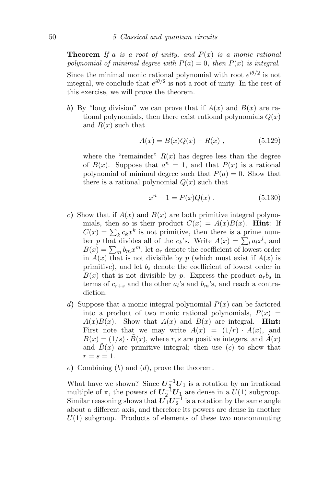**Theorem** If a is a root of unity, and  $P(x)$  is a monic rational polynomial of minimal degree with  $P(a) = 0$ , then  $P(x)$  is integral. Since the minimal monic rational polynomial with root  $e^{i\theta/2}$  is not integral, we conclude that  $e^{i\theta/2}$  is not a root of unity. In the rest of this exercise, we will prove the theorem.

b) By "long division" we can prove that if  $A(x)$  and  $B(x)$  are rational polynomials, then there exist rational polynomials  $Q(x)$ and  $R(x)$  such that

$$
A(x) = B(x)Q(x) + R(x) , \t(5.129)
$$

where the "remainder"  $R(x)$  has degree less than the degree of  $B(x)$ . Suppose that  $a^n = 1$ , and that  $P(x)$  is a rational polynomial of minimal degree such that  $P(a) = 0$ . Show that there is a rational polynomial  $Q(x)$  such that

$$
x^n - 1 = P(x)Q(x) . \t(5.130)
$$

- c) Show that if  $A(x)$  and  $B(x)$  are both primitive integral polynomials, then so is their product  $C(x) = A(x)B(x)$ . Hint: If  $C(x) = \sum_{k} c_k x^k$  is not primitive, then there is a prime number p that divides all of the  $c_k$ 's. Write  $A(x) = \sum_l a_l x^l$ , and  $B(x) = \sum_{m} b_m x^m$ , let  $a_r$  denote the coefficient of lowest order in  $A(x)$  that is not divisible by p (which must exist if  $A(x)$ ) is primitive), and let  $b_s$  denote the coefficient of lowest order in  $B(x)$  that is not divisible by p. Express the product  $a_r b_s$  in terms of  $c_{r+s}$  and the other  $a_i$ 's and  $b_m$ 's, and reach a contradiction.
- d) Suppose that a monic integral polynomial  $P(x)$  can be factored into a product of two monic rational polynomials,  $P(x) =$  $A(x)B(x)$ . Show that  $A(x)$  and  $B(x)$  are integral. **Hint:** First note that we may write  $A(x) = (1/r) \cdot \overline{A}(x)$ , and  $B(x) = (1/s) \cdot B(x)$ , where r, s are positive integers, and  $\overline{A}(x)$ and  $B(x)$  are primitive integral; then use (c) to show that  $r = s = 1$ .
- e) Combining  $(b)$  and  $(d)$ , prove the theorem.

What have we shown? Since  $\boldsymbol{U}_2^{-1}\boldsymbol{U}_1$  is a rotation by an irrational multiple of  $\pi$ , the powers of  $\mathbf{U}_2^{-1}\mathbf{U}_1$  are dense in a  $\mathbf{U}(1)$  subgroup. Similar reasoning shows that  $\tilde{U_1U_2^{-1}}$  is a rotation by the same angle about a different axis, and therefore its powers are dense in another  $U(1)$  subgroup. Products of elements of these two noncommuting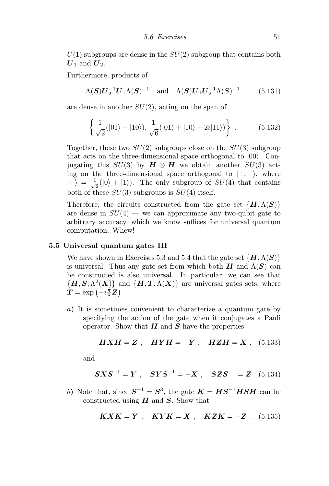$U(1)$  subgroups are dense in the  $SU(2)$  subgroup that contains both  $U_1$  and  $U_2$ .

Furthermore, products of

$$
\Lambda(\boldsymbol{S})\boldsymbol{U}_2^{-1}\boldsymbol{U}_1\Lambda(\boldsymbol{S})^{-1} \quad \text{and} \quad \Lambda(\boldsymbol{S})\boldsymbol{U}_1\boldsymbol{U}_2^{-1}\Lambda(\boldsymbol{S})^{-1} \tag{5.131}
$$

are dense in another  $SU(2)$ , acting on the span of

$$
\left\{\frac{1}{\sqrt{2}}(|01\rangle - |10\rangle), \frac{1}{\sqrt{6}}(|01\rangle + |10\rangle - 2i|11\rangle)\right\}.
$$
 (5.132)

Together, these two  $SU(2)$  subgroups close on the  $SU(3)$  subgroup that acts on the three-dimensional space orthogonal to  $|00\rangle$ . Conjugating this  $SU(3)$  by  $H \otimes H$  we obtain another  $SU(3)$  acting on the three-dimensional space orthogonal to  $|+,+\rangle$ , where  $|+\rangle = \frac{1}{\sqrt{2}}$  $\frac{1}{2}(|0\rangle + |1\rangle)$ . The only subgroup of  $SU(4)$  that contains both of these  $SU(3)$  subgroups is  $SU(4)$  itself.

Therefore, the circuits constructed from the gate set  $\{H, \Lambda(S)\}$ are dense in  $SU(4)$  — we can approximate any two-qubit gate to arbitrary accuracy, which we know suffices for universal quantum computation. Whew!

#### 5.5 Universal quantum gates III

We have shown in Exercises 5.3 and 5.4 that the gate set  $\{H, \Lambda(S)\}$ is universal. Thus any gate set from which both  $H$  and  $\Lambda(S)$  can be constructed is also universal. In particular, we can see that  ${H, S, \Lambda^2(X)}$  and  ${H, T, \Lambda(X)}$  are universal gates sets, where  $\hat{\bm{T}} = \exp\left(-i\frac{\pi}{8}\bm{Z}\right).$ 

a) It is sometimes convenient to characterize a quantum gate by specifying the action of the gate when it conjugates a Pauli operator. Show that  $H$  and  $S$  have the properties

$$
HXH = Z , \quad HYH = -Y , \quad HZH = X , \quad (5.133)
$$

and

$$
SXS^{-1} = Y \ , \quad SYS^{-1} = -X \ , \quad SZS^{-1} = Z \ . \ (5.134)
$$

b) Note that, since  $S^{-1} = S^3$ , the gate  $K = HS^{-1}HSH$  can be constructed using  $H$  and  $S$ . Show that

$$
KXK = Y, \quad KYK = X, \quad KZK = -Z. \quad (5.135)
$$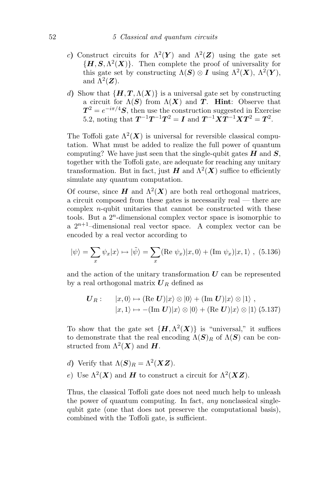- c) Construct circuits for  $\Lambda^2(Y)$  and  $\Lambda^2(Z)$  using the gate set  $\{H, S, \Lambda^2(X)\}.$  Then complete the proof of universality for this gate set by constructing  $\Lambda(S) \otimes I$  using  $\Lambda^2(\mathbf{X})$ ,  $\Lambda^2(\mathbf{Y})$ , and  $\Lambda^2(\mathbf{Z})$ .
- d) Show that  $\{H, T, \Lambda(X)\}\$ is a universal gate set by constructing a circuit for  $\Lambda(S)$  from  $\Lambda(X)$  and T. Hint: Observe that  $T^2 = e^{-i\pi/4}S$ , then use the construction suggested in Exercise 5.2, noting that  $T^{-1}T^{-1}T^2 = I$  and  $T^{-1}XT^{-1}XT^2 = T^2$ .

The Toffoli gate  $\Lambda^2(\mathbf{X})$  is universal for reversible classical computation. What must be added to realize the full power of quantum computing? We have just seen that the single-qubit gates  $H$  and  $S$ , together with the Toffoli gate, are adequate for reaching any unitary transformation. But in fact, just  $H$  and  $\Lambda^2(X)$  suffice to efficiently simulate any quantum computation.

Of course, since H and  $\Lambda^2(X)$  are both real orthogonal matrices, a circuit composed from these gates is necessarily real — there are complex n-qubit unitaries that cannot be constructed with these tools. But a  $2<sup>n</sup>$ -dimensional complex vector space is isomorphic to a  $2^{n+1}$ -dimensional real vector space. A complex vector can be encoded by a real vector according to

$$
|\psi\rangle = \sum_{x} \psi_x |x\rangle \mapsto |\tilde{\psi}\rangle = \sum_{x} (\text{Re } \psi_x) |x, 0\rangle + (\text{Im } \psi_x) |x, 1\rangle , (5.136)
$$

and the action of the unitary transformation  $U$  can be represented by a real orthogonal matrix  $\boldsymbol{U}_R$  defined as

$$
\begin{aligned} \boldsymbol{U}_R: \quad & |x,0\rangle \mapsto (\text{Re } \boldsymbol{U})|x\rangle \otimes |0\rangle + (\text{Im } \boldsymbol{U})|x\rangle \otimes |1\rangle \;, \\ & |x,1\rangle \mapsto -(\text{Im } \boldsymbol{U})|x\rangle \otimes |0\rangle + (\text{Re } \boldsymbol{U})|x\rangle \otimes |1\rangle \; (5.137) \end{aligned}
$$

To show that the gate set  $\{H, \Lambda^2(\boldsymbol{X})\}$  is "universal," it suffices to demonstrate that the real encoding  $\Lambda(S)_R$  of  $\Lambda(S)$  can be constructed from  $\Lambda^2(\boldsymbol{X})$  and  $\boldsymbol{H}$ .

- d) Verify that  $\Lambda(S)_R = \Lambda^2(\boldsymbol{X}\boldsymbol{Z}).$
- e) Use  $\Lambda^2(\boldsymbol{X})$  and **H** to construct a circuit for  $\Lambda^2(\boldsymbol{X}\boldsymbol{Z})$ .

Thus, the classical Toffoli gate does not need much help to unleash the power of quantum computing. In fact, any nonclassical singlequbit gate (one that does not preserve the computational basis), combined with the Toffoli gate, is sufficient.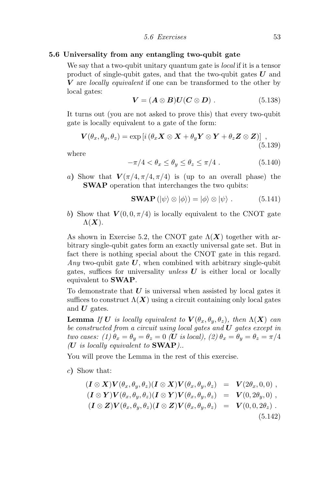#### 5.6 Universality from any entangling two-qubit gate

We say that a two-qubit unitary quantum gate is *local* if it is a tensor product of single-qubit gates, and that the two-qubit gates  $U$  and  $V$  are locally equivalent if one can be transformed to the other by local gates:

$$
V = (A \otimes B)U(C \otimes D) . \qquad (5.138)
$$

It turns out (you are not asked to prove this) that every two-qubit gate is locally equivalent to a gate of the form:

$$
\mathbf{V}(\theta_x, \theta_y, \theta_z) = \exp[i(\theta_x \mathbf{X} \otimes \mathbf{X} + \theta_y \mathbf{Y} \otimes \mathbf{Y} + \theta_z \mathbf{Z} \otimes \mathbf{Z})],
$$
\n(5.139)

where

$$
-\pi/4 < \theta_x \le \theta_y \le \theta_z \le \pi/4. \tag{5.140}
$$

a) Show that  $V(\pi/4, \pi/4, \pi/4)$  is (up to an overall phase) the **SWAP** operation that interchanges the two qubits:

$$
\textbf{SWAP} \left( |\psi \rangle \otimes |\phi \rangle \right) = |\phi \rangle \otimes |\psi \rangle \ . \tag{5.141}
$$

b) Show that  $V(0, 0, \pi/4)$  is locally equivalent to the CNOT gate  $\Lambda(X)$ .

As shown in Exercise 5.2, the CNOT gate  $\Lambda(X)$  together with arbitrary single-qubit gates form an exactly universal gate set. But in fact there is nothing special about the CNOT gate in this regard. Any two-qubit gate  $U$ , when combined with arbitrary single-qubit gates, suffices for universality unless  $U$  is either local or locally equivalent to SWAP.

To demonstrate that  $U$  is universal when assisted by local gates it suffices to construct  $\Lambda(X)$  using a circuit containing only local gates and  $\boldsymbol{U}$  gates.

**Lemma** If U is locally equivalent to  $V(\theta_x, \theta_y, \theta_z)$ , then  $\Lambda(X)$  can be constructed from a circuit using local gates and  $U$  gates except in two cases: (1)  $\theta_x = \theta_y = \theta_z = 0$  (U is local), (2)  $\theta_x = \theta_y = \theta_z = \pi/4$  $(U$  is locally equivalent to  $SWAP$ )...

You will prove the Lemma in the rest of this exercise.

c) Show that:

$$
\begin{array}{rcl}\n(I \otimes X)V(\theta_x, \theta_y, \theta_z)(I \otimes X)V(\theta_x, \theta_y, \theta_z) & = & V(2\theta_x, 0, 0) \; , \\
(I \otimes Y)V(\theta_x, \theta_y, \theta_z)(I \otimes Y)V(\theta_x, \theta_y, \theta_z) & = & V(0, 2\theta_y, 0) \; , \\
(I \otimes Z)V(\theta_x, \theta_y, \theta_z)(I \otimes Z)V(\theta_x, \theta_y, \theta_z) & = & V(0, 0, 2\theta_z) \; . \\
(5.142)\n\end{array}
$$